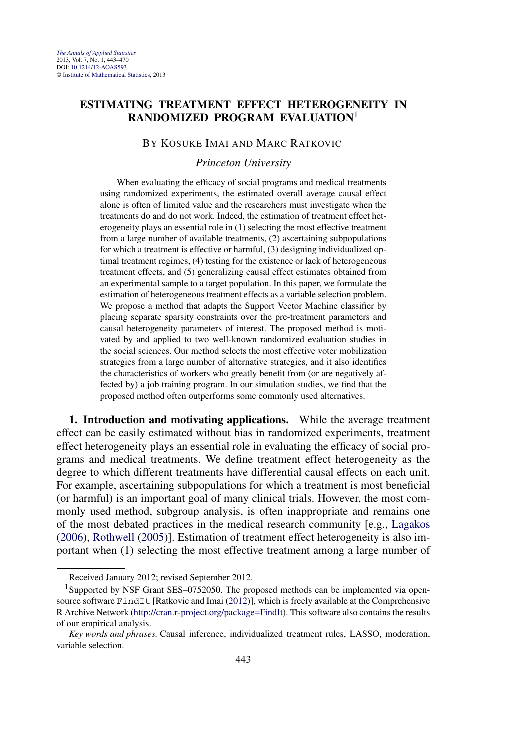# **ESTIMATING TREATMENT EFFECT HETEROGENEITY IN RANDOMIZED PROGRAM EVALUATION**<sup>1</sup>

## BY KOSUKE IMAI AND MARC RATKOVIC

*Princeton University*

When evaluating the efficacy of social programs and medical treatments using randomized experiments, the estimated overall average causal effect alone is often of limited value and the researchers must investigate when the treatments do and do not work. Indeed, the estimation of treatment effect heterogeneity plays an essential role in (1) selecting the most effective treatment from a large number of available treatments, (2) ascertaining subpopulations for which a treatment is effective or harmful, (3) designing individualized optimal treatment regimes, (4) testing for the existence or lack of heterogeneous treatment effects, and (5) generalizing causal effect estimates obtained from an experimental sample to a target population. In this paper, we formulate the estimation of heterogeneous treatment effects as a variable selection problem. We propose a method that adapts the Support Vector Machine classifier by placing separate sparsity constraints over the pre-treatment parameters and causal heterogeneity parameters of interest. The proposed method is motivated by and applied to two well-known randomized evaluation studies in the social sciences. Our method selects the most effective voter mobilization strategies from a large number of alternative strategies, and it also identifies the characteristics of workers who greatly benefit from (or are negatively affected by) a job training program. In our simulation studies, we find that the proposed method often outperforms some commonly used alternatives.

**1. Introduction and motivating applications.** While the average treatment effect can be easily estimated without bias in randomized experiments, treatment effect heterogeneity plays an essential role in evaluating the efficacy of social programs and medical treatments. We define treatment effect heterogeneity as the degree to which different treatments have differential causal effects on each unit. For example, ascertaining subpopulations for which a treatment is most beneficial (or harmful) is an important goal of many clinical trials. However, the most commonly used method, subgroup analysis, is often inappropriate and remains one of the most debated practices in the medical research community [e.g., [Lagakos](#page-26-0) [\(2006\)](#page-26-0), [Rothwell](#page-26-0) [\(2005\)](#page-26-0)]. Estimation of treatment effect heterogeneity is also important when (1) selecting the most effective treatment among a large number of

Received January 2012; revised September 2012.

<sup>&</sup>lt;sup>1</sup>Supported by NSF Grant SES–0752050. The proposed methods can be implemented via opensource software FindIt [Ratkovic and Imai [\(2012\)](#page-26-0)], which is freely available at the Comprehensive R Archive Network [\(http://cran.r-project.org/package=FindIt](http://cran.r-project.org/package=FindIt)). This software also contains the results of our empirical analysis.

*Key words and phrases.* Causal inference, individualized treatment rules, LASSO, moderation, variable selection.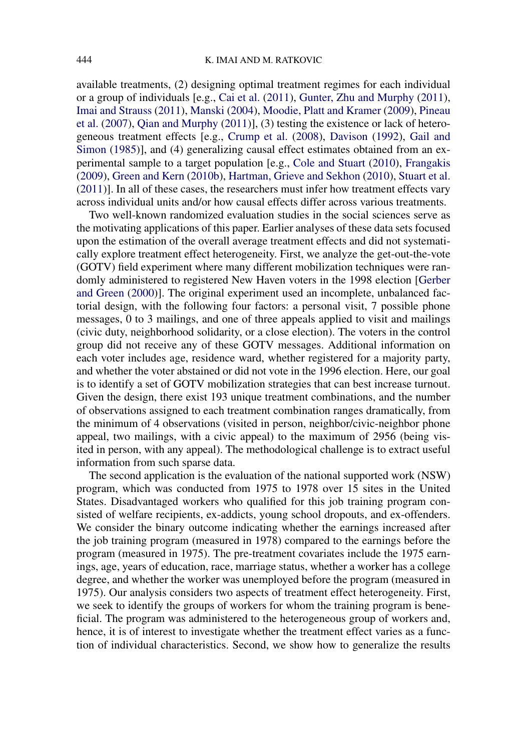available treatments, (2) designing optimal treatment regimes for each individual or a group of individuals [e.g., [Cai et al.](#page-25-0) [\(2011\)](#page-25-0), [Gunter, Zhu and Murphy](#page-25-0) [\(2011\)](#page-25-0), [Imai and Strauss](#page-25-0) [\(2011\)](#page-25-0), [Manski](#page-26-0) [\(2004\)](#page-26-0), [Moodie, Platt and Kramer](#page-26-0) [\(2009\)](#page-26-0), [Pineau](#page-26-0) [et al.](#page-26-0) [\(2007\)](#page-26-0), [Qian and Murphy](#page-26-0) [\(2011\)](#page-26-0)], (3) testing the existence or lack of heterogeneous treatment effects [e.g., [Crump et al.](#page-25-0) [\(2008\)](#page-25-0), [Davison](#page-25-0) [\(1992\)](#page-25-0), [Gail and](#page-25-0) [Simon](#page-25-0) [\(1985\)](#page-25-0)], and (4) generalizing causal effect estimates obtained from an experimental sample to a target population [e.g., [Cole and Stuart](#page-25-0) [\(2010\)](#page-25-0), [Frangakis](#page-25-0) [\(2009\)](#page-25-0), [Green and Kern](#page-25-0) [\(2010b\)](#page-25-0), [Hartman, Grieve and Sekhon](#page-25-0) [\(2010\)](#page-25-0), [Stuart et al.](#page-27-0) [\(2011\)](#page-27-0)]. In all of these cases, the researchers must infer how treatment effects vary across individual units and/or how causal effects differ across various treatments.

Two well-known randomized evaluation studies in the social sciences serve as the motivating applications of this paper. Earlier analyses of these data sets focused upon the estimation of the overall average treatment effects and did not systematically explore treatment effect heterogeneity. First, we analyze the get-out-the-vote (GOTV) field experiment where many different mobilization techniques were randomly administered to registered New Haven voters in the 1998 election [\[Gerber](#page-25-0) [and Green](#page-25-0) [\(2000\)](#page-25-0)]. The original experiment used an incomplete, unbalanced factorial design, with the following four factors: a personal visit, 7 possible phone messages, 0 to 3 mailings, and one of three appeals applied to visit and mailings (civic duty, neighborhood solidarity, or a close election). The voters in the control group did not receive any of these GOTV messages. Additional information on each voter includes age, residence ward, whether registered for a majority party, and whether the voter abstained or did not vote in the 1996 election. Here, our goal is to identify a set of GOTV mobilization strategies that can best increase turnout. Given the design, there exist 193 unique treatment combinations, and the number of observations assigned to each treatment combination ranges dramatically, from the minimum of 4 observations (visited in person, neighbor/civic-neighbor phone appeal, two mailings, with a civic appeal) to the maximum of 2956 (being visited in person, with any appeal). The methodological challenge is to extract useful information from such sparse data.

The second application is the evaluation of the national supported work (NSW) program, which was conducted from 1975 to 1978 over 15 sites in the United States. Disadvantaged workers who qualified for this job training program consisted of welfare recipients, ex-addicts, young school dropouts, and ex-offenders. We consider the binary outcome indicating whether the earnings increased after the job training program (measured in 1978) compared to the earnings before the program (measured in 1975). The pre-treatment covariates include the 1975 earnings, age, years of education, race, marriage status, whether a worker has a college degree, and whether the worker was unemployed before the program (measured in 1975). Our analysis considers two aspects of treatment effect heterogeneity. First, we seek to identify the groups of workers for whom the training program is beneficial. The program was administered to the heterogeneous group of workers and, hence, it is of interest to investigate whether the treatment effect varies as a function of individual characteristics. Second, we show how to generalize the results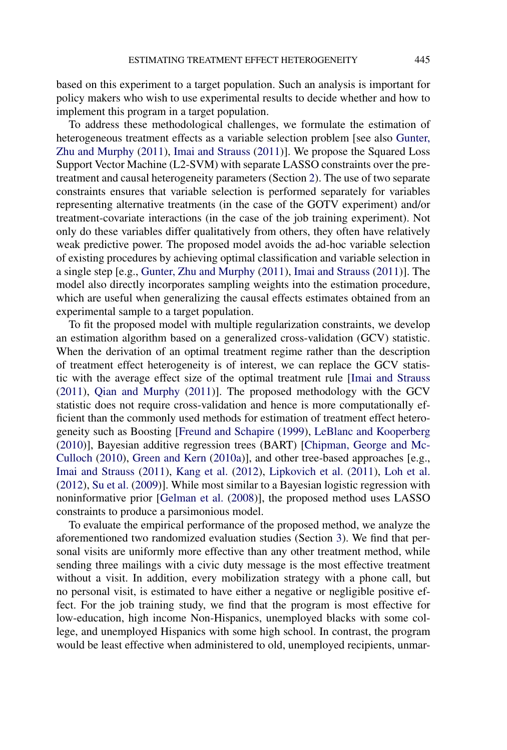based on this experiment to a target population. Such an analysis is important for policy makers who wish to use experimental results to decide whether and how to implement this program in a target population.

To address these methodological challenges, we formulate the estimation of heterogeneous treatment effects as a variable selection problem [see also [Gunter,](#page-25-0) [Zhu and Murphy](#page-25-0) [\(2011\)](#page-25-0), [Imai and Strauss](#page-25-0) [\(2011\)](#page-25-0)]. We propose the Squared Loss Support Vector Machine (L2-SVM) with separate LASSO constraints over the pretreatment and causal heterogeneity parameters (Section [2\)](#page-3-0). The use of two separate constraints ensures that variable selection is performed separately for variables representing alternative treatments (in the case of the GOTV experiment) and/or treatment-covariate interactions (in the case of the job training experiment). Not only do these variables differ qualitatively from others, they often have relatively weak predictive power. The proposed model avoids the ad-hoc variable selection of existing procedures by achieving optimal classification and variable selection in a single step [e.g., [Gunter, Zhu and Murphy](#page-25-0) [\(2011\)](#page-25-0), [Imai and Strauss](#page-25-0) [\(2011\)](#page-25-0)]. The model also directly incorporates sampling weights into the estimation procedure, which are useful when generalizing the causal effects estimates obtained from an experimental sample to a target population.

To fit the proposed model with multiple regularization constraints, we develop an estimation algorithm based on a generalized cross-validation (GCV) statistic. When the derivation of an optimal treatment regime rather than the description of treatment effect heterogeneity is of interest, we can replace the GCV statistic with the average effect size of the optimal treatment rule [\[Imai and Strauss](#page-25-0) [\(2011\)](#page-25-0), [Qian and Murphy](#page-26-0) [\(2011\)](#page-26-0)]. The proposed methodology with the GCV statistic does not require cross-validation and hence is more computationally efficient than the commonly used methods for estimation of treatment effect heterogeneity such as Boosting [\[Freund and Schapire](#page-25-0) [\(1999\)](#page-25-0), [LeBlanc and Kooperberg](#page-26-0) [\(2010\)](#page-26-0)], Bayesian additive regression trees (BART) [\[Chipman, George and Mc-](#page-25-0)[Culloch](#page-25-0) [\(2010\)](#page-25-0), [Green and Kern](#page-25-0) [\(2010a\)](#page-25-0)], and other tree-based approaches [e.g., [Imai and Strauss](#page-25-0) [\(2011\)](#page-25-0), [Kang et al.](#page-26-0) [\(2012\)](#page-26-0), [Lipkovich et al.](#page-26-0) [\(2011\)](#page-26-0), [Loh et al.](#page-26-0) [\(2012\)](#page-26-0), [Su et al.](#page-27-0) [\(2009\)](#page-27-0)]. While most similar to a Bayesian logistic regression with noninformative prior [\[Gelman et al.](#page-25-0) [\(2008\)](#page-25-0)], the proposed method uses LASSO constraints to produce a parsimonious model.

To evaluate the empirical performance of the proposed method, we analyze the aforementioned two randomized evaluation studies (Section [3\)](#page-8-0). We find that personal visits are uniformly more effective than any other treatment method, while sending three mailings with a civic duty message is the most effective treatment without a visit. In addition, every mobilization strategy with a phone call, but no personal visit, is estimated to have either a negative or negligible positive effect. For the job training study, we find that the program is most effective for low-education, high income Non-Hispanics, unemployed blacks with some college, and unemployed Hispanics with some high school. In contrast, the program would be least effective when administered to old, unemployed recipients, unmar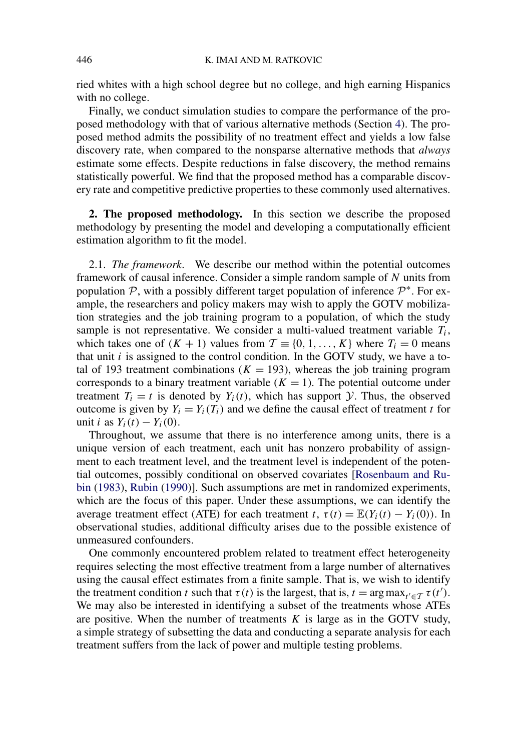<span id="page-3-0"></span>ried whites with a high school degree but no college, and high earning Hispanics with no college.

Finally, we conduct simulation studies to compare the performance of the proposed methodology with that of various alternative methods (Section [4\)](#page-12-0). The proposed method admits the possibility of no treatment effect and yields a low false discovery rate, when compared to the nonsparse alternative methods that *always* estimate some effects. Despite reductions in false discovery, the method remains statistically powerful. We find that the proposed method has a comparable discovery rate and competitive predictive properties to these commonly used alternatives.

**2. The proposed methodology.** In this section we describe the proposed methodology by presenting the model and developing a computationally efficient estimation algorithm to fit the model.

2.1. *The framework*. We describe our method within the potential outcomes framework of causal inference. Consider a simple random sample of *N* units from population  $\mathcal{P}$ , with a possibly different target population of inference  $\mathcal{P}^*$ . For example, the researchers and policy makers may wish to apply the GOTV mobilization strategies and the job training program to a population, of which the study sample is not representative. We consider a multi-valued treatment variable  $T_i$ , which takes one of  $(K + 1)$  values from  $\mathcal{T} \equiv \{0, 1, \ldots, K\}$  where  $T_i = 0$  means that unit *i* is assigned to the control condition. In the GOTV study, we have a total of 193 treatment combinations ( $K = 193$ ), whereas the job training program corresponds to a binary treatment variable  $(K = 1)$ . The potential outcome under treatment  $T_i = t$  is denoted by  $Y_i(t)$ , which has support  $\mathcal{Y}$ . Thus, the observed outcome is given by  $Y_i = Y_i(T_i)$  and we define the causal effect of treatment *t* for unit *i* as  $Y_i(t) - Y_i(0)$ .

Throughout, we assume that there is no interference among units, there is a unique version of each treatment, each unit has nonzero probability of assignment to each treatment level, and the treatment level is independent of the potential outcomes, possibly conditional on observed covariates [\[Rosenbaum and Ru](#page-26-0)[bin](#page-26-0) [\(1983\)](#page-26-0), [Rubin](#page-26-0) [\(1990\)](#page-26-0)]. Such assumptions are met in randomized experiments, which are the focus of this paper. Under these assumptions, we can identify the average treatment effect (ATE) for each treatment *t*,  $\tau(t) = \mathbb{E}(Y_i(t) - Y_i(0))$ . In observational studies, additional difficulty arises due to the possible existence of unmeasured confounders.

One commonly encountered problem related to treatment effect heterogeneity requires selecting the most effective treatment from a large number of alternatives using the causal effect estimates from a finite sample. That is, we wish to identify the treatment condition *t* such that  $\tau(t)$  is the largest, that is,  $t = \arg \max_{t' \in \mathcal{T}} \tau(t')$ . We may also be interested in identifying a subset of the treatments whose ATEs are positive. When the number of treatments  $K$  is large as in the GOTV study, a simple strategy of subsetting the data and conducting a separate analysis for each treatment suffers from the lack of power and multiple testing problems.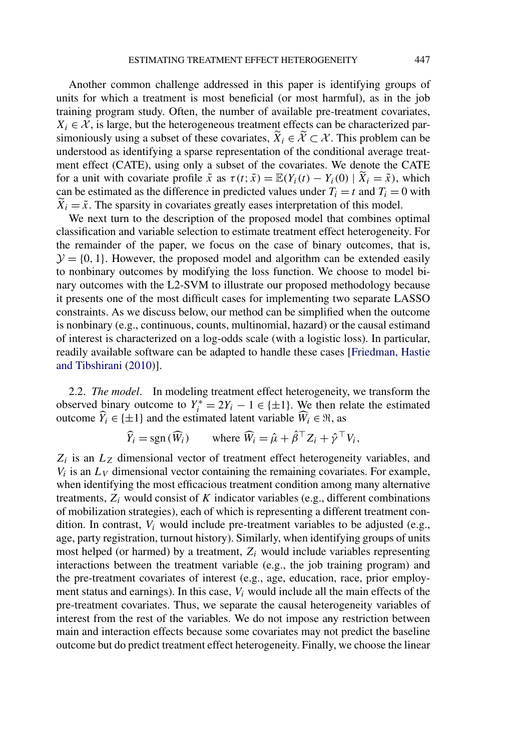Another common challenge addressed in this paper is identifying groups of units for which a treatment is most beneficial (or most harmful), as in the job training program study. Often, the number of available pre-treatment covariates,  $X_i \in \mathcal{X}$ , is large, but the heterogeneous treatment effects can be characterized parsimoniously using a subset of these covariates,  $\tilde{X}_i \in \tilde{X} \subset \mathcal{X}$ . This problem can be understood as identifying a sparse representation of the conditional average treatment effect (CATE), using only a subset of the covariates. We denote the CATE for a unit with covariate profile  $\tilde{x}$  as  $\tau(t; \tilde{x}) = \mathbb{E}(Y_i(t) - Y_i(0) | \tilde{X}_i = \tilde{x})$ , which can be estimated as the difference in predicted values under  $T_i = t$  and  $T_i = 0$  with  $\tilde{X}_i = \tilde{x}$ . The sparsity in covariates greatly eases interpretation of this model.

We next turn to the description of the proposed model that combines optimal classification and variable selection to estimate treatment effect heterogeneity. For the remainder of the paper, we focus on the case of binary outcomes, that is,  $\mathcal{Y} = \{0, 1\}$ . However, the proposed model and algorithm can be extended easily to nonbinary outcomes by modifying the loss function. We choose to model binary outcomes with the L2-SVM to illustrate our proposed methodology because it presents one of the most difficult cases for implementing two separate LASSO constraints. As we discuss below, our method can be simplified when the outcome is nonbinary (e.g., continuous, counts, multinomial, hazard) or the causal estimand of interest is characterized on a log-odds scale (with a logistic loss). In particular, readily available software can be adapted to handle these cases [\[Friedman, Hastie](#page-25-0) [and Tibshirani](#page-25-0) [\(2010\)](#page-25-0)].

2.2. *The model*. In modeling treatment effect heterogeneity, we transform the observed binary outcome to  $Y_i^* = 2Y_i - 1 \in \{\pm 1\}$ . We then relate the estimated outcome  $\widehat{Y}_i \in \{\pm 1\}$  and the estimated latent variable  $\widehat{W}_i \in \mathfrak{R}$ , as

$$
\widehat{Y}_i = \text{sgn}(\widehat{W}_i) \qquad \text{where } \widehat{W}_i = \widehat{\mu} + \widehat{\beta}^\top Z_i + \widehat{\gamma}^\top V_i,
$$

*Zi* is an *LZ* dimensional vector of treatment effect heterogeneity variables, and  $V_i$  is an  $L_V$  dimensional vector containing the remaining covariates. For example, when identifying the most efficacious treatment condition among many alternative treatments,  $Z_i$  would consist of  $K$  indicator variables (e.g., different combinations of mobilization strategies), each of which is representing a different treatment condition. In contrast, *Vi* would include pre-treatment variables to be adjusted (e.g., age, party registration, turnout history). Similarly, when identifying groups of units most helped (or harmed) by a treatment,  $Z_i$  would include variables representing interactions between the treatment variable (e.g., the job training program) and the pre-treatment covariates of interest (e.g., age, education, race, prior employment status and earnings). In this case, *Vi* would include all the main effects of the pre-treatment covariates. Thus, we separate the causal heterogeneity variables of interest from the rest of the variables. We do not impose any restriction between main and interaction effects because some covariates may not predict the baseline outcome but do predict treatment effect heterogeneity. Finally, we choose the linear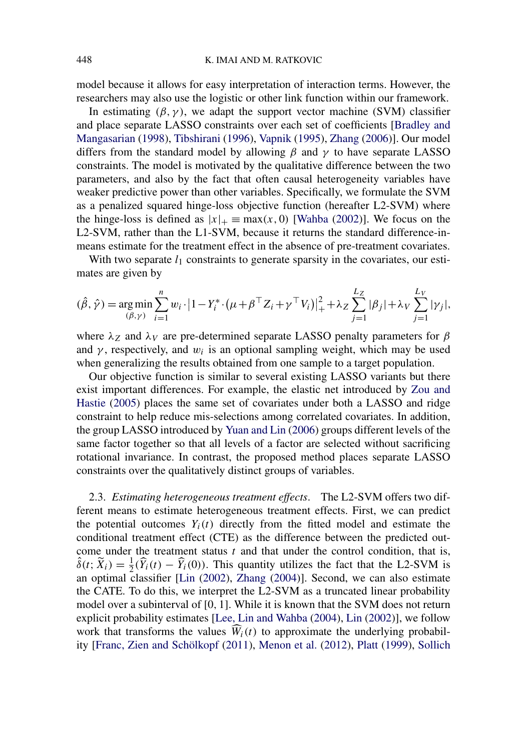model because it allows for easy interpretation of interaction terms. However, the researchers may also use the logistic or other link function within our framework.

In estimating  $(\beta, \gamma)$ , we adapt the support vector machine (SVM) classifier and place separate LASSO constraints over each set of coefficients [\[Bradley and](#page-24-0) [Mangasarian](#page-24-0) [\(1998\)](#page-24-0), [Tibshirani](#page-27-0) [\(1996\)](#page-27-0), [Vapnik](#page-27-0) [\(1995\)](#page-27-0), [Zhang](#page-27-0) [\(2006\)](#page-27-0)]. Our model differs from the standard model by allowing *β* and *γ* to have separate LASSO constraints. The model is motivated by the qualitative difference between the two parameters, and also by the fact that often causal heterogeneity variables have weaker predictive power than other variables. Specifically, we formulate the SVM as a penalized squared hinge-loss objective function (hereafter L2-SVM) where the hinge-loss is defined as  $|x|_{+} = max(x, 0)$  [\[Wahba](#page-27-0) [\(2002\)](#page-27-0)]. We focus on the L2-SVM, rather than the L1-SVM, because it returns the standard difference-inmeans estimate for the treatment effect in the absence of pre-treatment covariates.

With two separate  $l_1$  constraints to generate sparsity in the covariates, our estimates are given by

$$
(\hat{\beta}, \hat{\gamma}) = \underset{(\beta, \gamma)}{\arg \min} \sum_{i=1}^{n} w_i \cdot |1 - Y_i^* \cdot (\mu + \beta^\top Z_i + \gamma^\top V_i)|_+^2 + \lambda_Z \sum_{j=1}^{L_Z} |\beta_j| + \lambda_V \sum_{j=1}^{L_V} |\gamma_j|,
$$

where  $\lambda_Z$  and  $\lambda_V$  are pre-determined separate LASSO penalty parameters for  $\beta$ and  $\gamma$ , respectively, and  $w_i$  is an optional sampling weight, which may be used when generalizing the results obtained from one sample to a target population.

Our objective function is similar to several existing LASSO variants but there exist important differences. For example, the elastic net introduced by [Zou and](#page-27-0) [Hastie](#page-27-0) [\(2005\)](#page-27-0) places the same set of covariates under both a LASSO and ridge constraint to help reduce mis-selections among correlated covariates. In addition, the group LASSO introduced by [Yuan and Lin](#page-27-0) [\(2006\)](#page-27-0) groups different levels of the same factor together so that all levels of a factor are selected without sacrificing rotational invariance. In contrast, the proposed method places separate LASSO constraints over the qualitatively distinct groups of variables.

2.3. *Estimating heterogeneous treatment effects*. The L2-SVM offers two different means to estimate heterogeneous treatment effects. First, we can predict the potential outcomes  $Y_i(t)$  directly from the fitted model and estimate the conditional treatment effect (CTE) as the difference between the predicted outcome under the treatment status *t* and that under the control condition, that is,  $\hat{\delta}(t; \tilde{X}_i) = \frac{1}{2}(\hat{Y}_i(t) - \hat{Y}_i(0))$ . This quantity utilizes the fact that the L2-SVM is an optimal classifier [\[Lin](#page-26-0) [\(2002\)](#page-26-0), [Zhang](#page-27-0) [\(2004\)](#page-27-0)]. Second, we can also estimate the CATE. To do this, we interpret the L2-SVM as a truncated linear probability model over a subinterval of [0*,* 1]. While it is known that the SVM does not return explicit probability estimates [\[Lee, Lin and Wahba](#page-26-0) [\(2004\)](#page-26-0), [Lin](#page-26-0) [\(2002\)](#page-26-0)], we follow work that transforms the values  $W_i(t)$  to approximate the underlying probability [\[Franc, Zien and Schölkopf](#page-25-0) [\(2011\)](#page-25-0), [Menon et al.](#page-26-0) [\(2012\)](#page-26-0), [Platt](#page-26-0) [\(1999\)](#page-26-0), [Sollich](#page-26-0)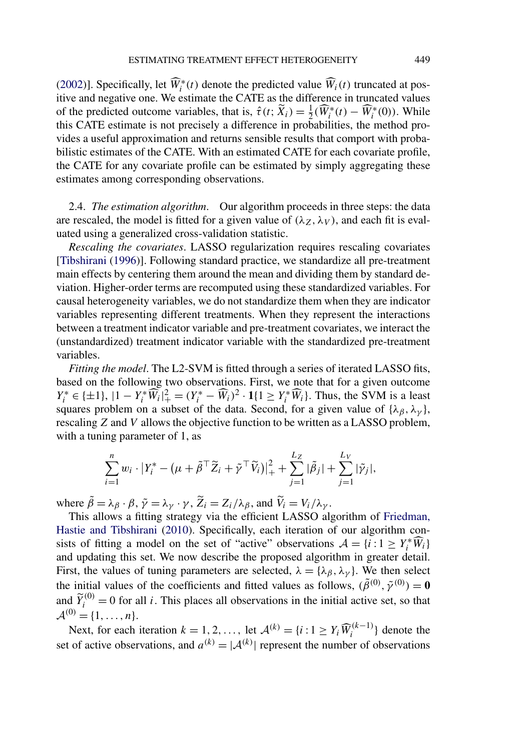<span id="page-6-0"></span>[\(2002\)](#page-26-0)]. Specifically, let  $\widehat{W}_i^*(t)$  denote the predicted value  $\widehat{W}_i(t)$  truncated at positive and negative one. We estimate the CATE as the difference in truncated values of the predicted outcome variables, that is,  $\hat{\tau}(t; \tilde{X}_i) = \frac{1}{2}(\widehat{W}_i^*(t) - \widehat{W}_i^*(0))$ . While this CATE estimate is not precisely a difference in probabilities, the method provides a useful approximation and returns sensible results that comport with probabilistic estimates of the CATE. With an estimated CATE for each covariate profile, the CATE for any covariate profile can be estimated by simply aggregating these estimates among corresponding observations.

2.4. *The estimation algorithm*. Our algorithm proceeds in three steps: the data are rescaled, the model is fitted for a given value of  $(\lambda z, \lambda y)$ , and each fit is evaluated using a generalized cross-validation statistic.

*Rescaling the covariates*. LASSO regularization requires rescaling covariates [\[Tibshirani](#page-27-0) [\(1996\)](#page-27-0)]. Following standard practice, we standardize all pre-treatment main effects by centering them around the mean and dividing them by standard deviation. Higher-order terms are recomputed using these standardized variables. For causal heterogeneity variables, we do not standardize them when they are indicator variables representing different treatments. When they represent the interactions between a treatment indicator variable and pre-treatment covariates, we interact the (unstandardized) treatment indicator variable with the standardized pre-treatment variables.

*Fitting the model*. The L2-SVM is fitted through a series of iterated LASSO fits, based on the following two observations. First, we note that for a given outcome  $Y_i^* \in \{\pm 1\}$ ,  $|1 - Y_i^* \widetilde{W}_i|_{+}^2 = (Y_i^* - \widehat{W}_i)^2 \cdot 1\{1 \ge Y_i^* \widehat{W}_i\}$ . Thus, the SVM is a least squares problem on a subset of the data. Second, for a given value of  $\{\lambda_\beta, \lambda_\gamma\}$ , rescaling *Z* and *V* allows the objective function to be written as a LASSO problem, with a tuning parameter of 1, as

$$
\sum_{i=1}^n w_i \cdot |Y_i^* - (\mu + \tilde{\beta}^\top \tilde{Z}_i + \tilde{\gamma}^\top \tilde{V}_i)|_+^2 + \sum_{j=1}^{L_Z} |\tilde{\beta}_j| + \sum_{j=1}^{L_V} |\tilde{\gamma}_j|,
$$

where  $\tilde{\beta} = \lambda_{\beta} \cdot \beta$ ,  $\tilde{\gamma} = \lambda_{\gamma} \cdot \gamma$ ,  $\tilde{Z}_i = Z_i / \lambda_{\beta}$ , and  $\tilde{V}_i = V_i / \lambda_{\gamma}$ .

This allows a fitting strategy via the efficient LASSO algorithm of [Friedman,](#page-25-0) [Hastie and Tibshirani](#page-25-0) [\(2010\)](#page-25-0). Specifically, each iteration of our algorithm consists of fitting a model on the set of "active" observations  $A = \{i : 1 \ge Y_i^* \widehat{W}_i\}$ and updating this set. We now describe the proposed algorithm in greater detail. First, the values of tuning parameters are selected,  $\lambda = {\lambda_\beta, \lambda_\gamma}$ . We then select the initial values of the coefficients and fitted values as follows,  $(\tilde{\beta}^{(0)}, \tilde{\gamma}^{(0)}) = 0$ and  $\widetilde{Y}_i^{(0)} = 0$  for all *i*. This places all observations in the initial active set, so that  $\mathcal{A}^{(0)} = \{1, \ldots, n\}.$ 

Next, for each iteration  $k = 1, 2, \ldots$ , let  $\mathcal{A}^{(k)} = \{i : 1 \ge Y_i \widehat{W}_i^{(k-1)}\}$  denote the set of active observations, and  $a^{(k)} = |A^{(k)}|$  represent the number of observations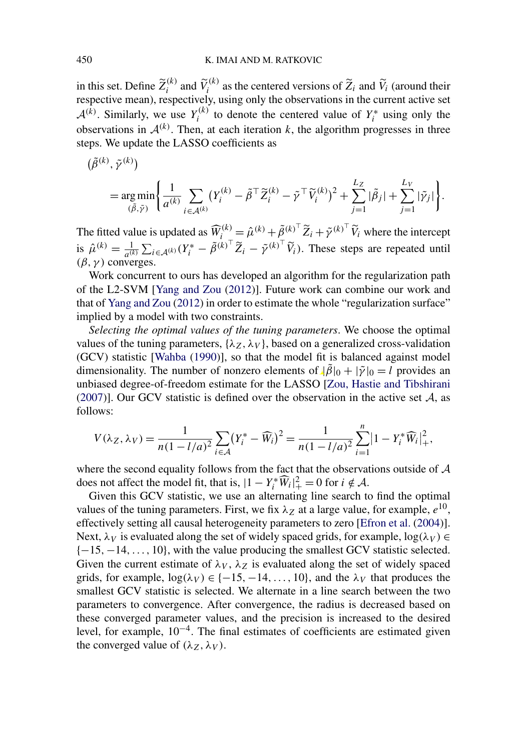in this set. Define  $\widetilde{Z}_i^{(k)}$  and  $\widetilde{V}_i^{(k)}$  as the centered versions of  $\widetilde{Z}_i$  and  $\widetilde{V}_i$  (around their respective mean), respectively, using only the observations in the current active set  $\mathcal{A}^{(k)}$ . Similarly, we use  $Y_i^{(k)}$  to denote the centered value of  $Y_i^*$  using only the observations in  $A^{(k)}$ . Then, at each iteration *k*, the algorithm progresses in three steps. We update the LASSO coefficients as

$$
\begin{split} &(\tilde{\beta}^{(k)}, \tilde{\gamma}^{(k)}) \\ &= \underset{(\tilde{\beta}, \tilde{\gamma})}{\arg \min} \Bigg\{ \frac{1}{a^{(k)}} \sum_{i \in \mathcal{A}^{(k)}} \big(Y_i^{(k)} - \tilde{\beta}^\top \tilde{Z}_i^{(k)} - \tilde{\gamma}^\top \tilde{V}_i^{(k)}\big)^2 + \sum_{j=1}^{L_Z} |\tilde{\beta}_j| + \sum_{j=1}^{L_V} |\tilde{\gamma}_j| \Bigg\}. \end{split}
$$

The fitted value is updated as  $\widehat{W}_{i}^{(k)} = \widehat{\mu}^{(k)} + \tilde{\beta}_{i}^{(k)}^{\top} \widetilde{Z}_{i} + \tilde{\gamma}^{(k)}^{\top} \widetilde{V}_{i}$  where the intercept is  $\hat{\mu}^{(k)} = \frac{1}{a^{(k)}} \sum_{i \in A^{(k)}} (Y_i^* - \tilde{\beta}^{(k)})^\top \tilde{Z}_i - \tilde{\gamma}^{(k)}^\top \tilde{V}_i$ . These steps are repeated until  $(\beta, \gamma)$  converges.

Work concurrent to ours has developed an algorithm for the regularization path of the L2-SVM [\[Yang and Zou](#page-27-0) [\(2012\)](#page-27-0)]. Future work can combine our work and that of [Yang and Zou](#page-27-0) [\(2012\)](#page-27-0) in order to estimate the whole "regularization surface" implied by a model with two constraints.

*Selecting the optimal values of the tuning parameters*. We choose the optimal values of the tuning parameters,  $\{\lambda_Z, \lambda_V\}$ , based on a generalized cross-validation (GCV) statistic [\[Wahba](#page-27-0) [\(1990\)](#page-27-0)], so that the model fit is balanced against model dimensionality. The number of nonzero elements of  $|\hat{\beta}|_0 + |\tilde{\gamma}|_0 = l$  provides an unbiased degree-of-freedom estimate for the LASSO [\[Zou, Hastie and Tibshirani](#page-27-0) [\(2007\)](#page-27-0)]. Our GCV statistic is defined over the observation in the active set  $A$ , as follows:

$$
V(\lambda_Z, \lambda_V) = \frac{1}{n(1 - l/a)^2} \sum_{i \in \mathcal{A}} (Y_i^* - \widehat{W}_i)^2 = \frac{1}{n(1 - l/a)^2} \sum_{i=1}^n |1 - Y_i^* \widehat{W}_i|^2_+,
$$

where the second equality follows from the fact that the observations outside of  $A$ does not affect the model fit, that is,  $|1 - Y_i^* \widehat{W}_i|_+^2 = 0$  for  $i \notin \mathcal{A}$ .

Given this GCV statistic, we use an alternating line search to find the optimal values of the tuning parameters. First, we fix  $\lambda_Z$  at a large value, for example,  $e^{10}$ , effectively setting all causal heterogeneity parameters to zero [\[Efron et al.](#page-25-0) [\(2004\)](#page-25-0)]. Next,  $\lambda_V$  is evaluated along the set of widely spaced grids, for example,  $\log(\lambda_V) \in$ {−15*,*−14*,...,* 10}, with the value producing the smallest GCV statistic selected. Given the current estimate of  $\lambda_V$ ,  $\lambda_Z$  is evaluated along the set of widely spaced grids, for example,  $log(\lambda_V) \in \{-15, -14, \ldots, 10\}$ , and the  $\lambda_V$  that produces the smallest GCV statistic is selected. We alternate in a line search between the two parameters to convergence. After convergence, the radius is decreased based on these converged parameter values, and the precision is increased to the desired level, for example, 10<sup>−</sup>4. The final estimates of coefficients are estimated given the converged value of  $(\lambda_Z, \lambda_V)$ .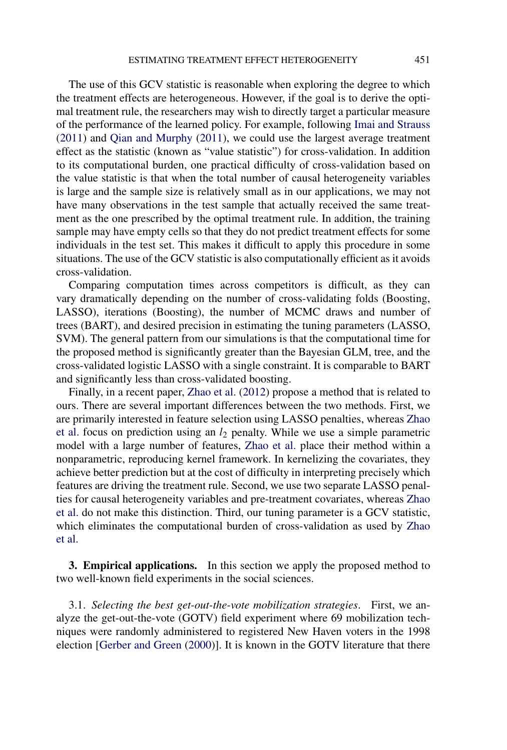<span id="page-8-0"></span>The use of this GCV statistic is reasonable when exploring the degree to which the treatment effects are heterogeneous. However, if the goal is to derive the optimal treatment rule, the researchers may wish to directly target a particular measure of the performance of the learned policy. For example, following [Imai and Strauss](#page-25-0) [\(2011\)](#page-25-0) and [Qian and Murphy](#page-26-0) [\(2011\)](#page-26-0), we could use the largest average treatment effect as the statistic (known as "value statistic") for cross-validation. In addition to its computational burden, one practical difficulty of cross-validation based on the value statistic is that when the total number of causal heterogeneity variables is large and the sample size is relatively small as in our applications, we may not have many observations in the test sample that actually received the same treatment as the one prescribed by the optimal treatment rule. In addition, the training sample may have empty cells so that they do not predict treatment effects for some individuals in the test set. This makes it difficult to apply this procedure in some situations. The use of the GCV statistic is also computationally efficient as it avoids cross-validation.

Comparing computation times across competitors is difficult, as they can vary dramatically depending on the number of cross-validating folds (Boosting, LASSO), iterations (Boosting), the number of MCMC draws and number of trees (BART), and desired precision in estimating the tuning parameters (LASSO, SVM). The general pattern from our simulations is that the computational time for the proposed method is significantly greater than the Bayesian GLM, tree, and the cross-validated logistic LASSO with a single constraint. It is comparable to BART and significantly less than cross-validated boosting.

Finally, in a recent paper, [Zhao et al.](#page-27-0) [\(2012\)](#page-27-0) propose a method that is related to ours. There are several important differences between the two methods. First, we are primarily interested in feature selection using LASSO penalties, whereas [Zhao](#page-27-0) [et al.](#page-27-0) focus on prediction using an *l*<sup>2</sup> penalty. While we use a simple parametric model with a large number of features, [Zhao et al.](#page-27-0) place their method within a nonparametric, reproducing kernel framework. In kernelizing the covariates, they achieve better prediction but at the cost of difficulty in interpreting precisely which features are driving the treatment rule. Second, we use two separate LASSO penalties for causal heterogeneity variables and pre-treatment covariates, whereas [Zhao](#page-27-0) [et al.](#page-27-0) do not make this distinction. Third, our tuning parameter is a GCV statistic, which eliminates the computational burden of cross-validation as used by [Zhao](#page-27-0) [et al.](#page-27-0)

**3. Empirical applications.** In this section we apply the proposed method to two well-known field experiments in the social sciences.

3.1. *Selecting the best get-out-the-vote mobilization strategies*. First, we analyze the get-out-the-vote (GOTV) field experiment where 69 mobilization techniques were randomly administered to registered New Haven voters in the 1998 election [\[Gerber and Green](#page-25-0) [\(2000\)](#page-25-0)]. It is known in the GOTV literature that there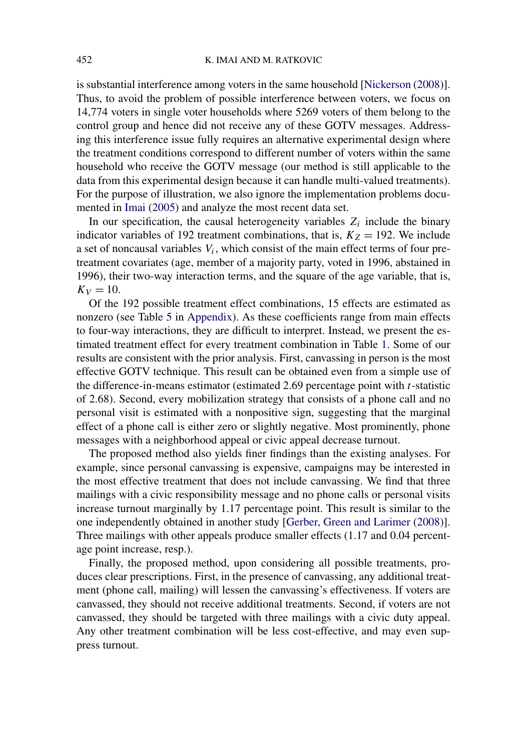is substantial interference among voters in the same household [\[Nickerson](#page-26-0) [\(2008\)](#page-26-0)]. Thus, to avoid the problem of possible interference between voters, we focus on 14,774 voters in single voter households where 5269 voters of them belong to the control group and hence did not receive any of these GOTV messages. Addressing this interference issue fully requires an alternative experimental design where the treatment conditions correspond to different number of voters within the same household who receive the GOTV message (our method is still applicable to the data from this experimental design because it can handle multi-valued treatments). For the purpose of illustration, we also ignore the implementation problems documented in [Imai](#page-25-0) [\(2005\)](#page-25-0) and analyze the most recent data set.

In our specification, the causal heterogeneity variables  $Z_i$  include the binary indicator variables of 192 treatment combinations, that is,  $K_Z = 192$ . We include a set of noncausal variables *Vi*, which consist of the main effect terms of four pretreatment covariates (age, member of a majority party, voted in 1996, abstained in 1996), their two-way interaction terms, and the square of the age variable, that is,  $K_V = 10$ .

Of the 192 possible treatment effect combinations, 15 effects are estimated as nonzero (see Table [5](#page-23-0) in [Appendix\)](#page-23-0). As these coefficients range from main effects to four-way interactions, they are difficult to interpret. Instead, we present the estimated treatment effect for every treatment combination in Table [1.](#page-10-0) Some of our results are consistent with the prior analysis. First, canvassing in person is the most effective GOTV technique. This result can be obtained even from a simple use of the difference-in-means estimator (estimated 2.69 percentage point with *t*-statistic of 2.68). Second, every mobilization strategy that consists of a phone call and no personal visit is estimated with a nonpositive sign, suggesting that the marginal effect of a phone call is either zero or slightly negative. Most prominently, phone messages with a neighborhood appeal or civic appeal decrease turnout.

The proposed method also yields finer findings than the existing analyses. For example, since personal canvassing is expensive, campaigns may be interested in the most effective treatment that does not include canvassing. We find that three mailings with a civic responsibility message and no phone calls or personal visits increase turnout marginally by 1.17 percentage point. This result is similar to the one independently obtained in another study [\[Gerber, Green and Larimer](#page-25-0) [\(2008\)](#page-25-0)]. Three mailings with other appeals produce smaller effects (1.17 and 0.04 percentage point increase, resp.).

Finally, the proposed method, upon considering all possible treatments, produces clear prescriptions. First, in the presence of canvassing, any additional treatment (phone call, mailing) will lessen the canvassing's effectiveness. If voters are canvassed, they should not receive additional treatments. Second, if voters are not canvassed, they should be targeted with three mailings with a civic duty appeal. Any other treatment combination will be less cost-effective, and may even suppress turnout.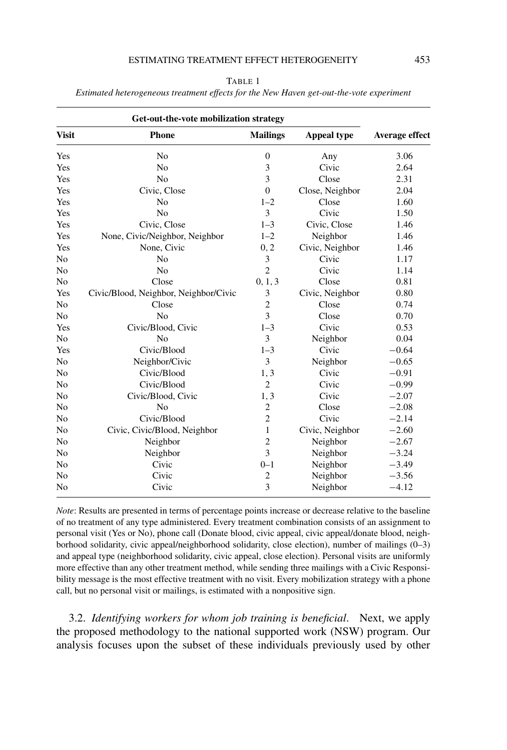#### ESTIMATING TREATMENT EFFECT HETEROGENEITY 453

|--|--|

<span id="page-10-0"></span>*Estimated heterogeneous treatment effects for the New Haven get-out-the-vote experiment*

| <b>Visit</b>   | Phone                                 | <b>Mailings</b> | <b>Appeal type</b> | Average effect |
|----------------|---------------------------------------|-----------------|--------------------|----------------|
| Yes            | N <sub>o</sub>                        | $\overline{0}$  | Any                | 3.06           |
| Yes            | N <sub>o</sub>                        | 3               | Civic              | 2.64           |
| Yes            | N <sub>o</sub>                        | 3               | Close              | 2.31           |
| Yes            | Civic, Close                          | $\overline{0}$  | Close, Neighbor    | 2.04           |
| Yes            | N <sub>o</sub>                        | $1 - 2$         | Close              | 1.60           |
| Yes            | No                                    | 3               | Civic              | 1.50           |
| Yes            | Civic, Close                          | $1 - 3$         | Civic, Close       | 1.46           |
| Yes            | None, Civic/Neighbor, Neighbor        | $1 - 2$         | Neighbor           | 1.46           |
| Yes            | None, Civic                           | 0, 2            | Civic, Neighbor    | 1.46           |
| N <sub>0</sub> | N <sub>o</sub>                        | 3               | Civic              | 1.17           |
| N <sub>0</sub> | N <sub>o</sub>                        | $\overline{2}$  | Civic              | 1.14           |
| N <sub>0</sub> | Close                                 | 0, 1, 3         | Close              | 0.81           |
| Yes            | Civic/Blood, Neighbor, Neighbor/Civic | 3               | Civic, Neighbor    | 0.80           |
| No             | Close                                 | $\overline{c}$  | Close              | 0.74           |
| N <sub>0</sub> | N <sub>0</sub>                        | 3               | Close              | 0.70           |
| Yes            | Civic/Blood, Civic                    | $1 - 3$         | Civic              | 0.53           |
| N <sub>0</sub> | N <sub>o</sub>                        | 3               | Neighbor           | 0.04           |
| Yes            | Civic/Blood                           | $1 - 3$         | Civic              | $-0.64$        |
| No             | Neighbor/Civic                        | 3               | Neighbor           | $-0.65$        |
| N <sub>0</sub> | Civic/Blood                           | 1, 3            | Civic              | $-0.91$        |
| N <sub>0</sub> | Civic/Blood                           | $\overline{2}$  | Civic              | $-0.99$        |
| N <sub>0</sub> | Civic/Blood, Civic                    | 1, 3            | Civic              | $-2.07$        |
| N <sub>0</sub> | No                                    | $\overline{c}$  | Close              | $-2.08$        |
| No             | Civic/Blood                           | $\overline{c}$  | Civic              | $-2.14$        |
| No             | Civic, Civic/Blood, Neighbor          | 1               | Civic, Neighbor    | $-2.60$        |
| N <sub>0</sub> | Neighbor                              | $\overline{c}$  | Neighbor           | $-2.67$        |
| N <sub>0</sub> | Neighbor                              | 3               | Neighbor           | $-3.24$        |
| N <sub>0</sub> | Civic                                 | $0 - 1$         | Neighbor           | $-3.49$        |
| No             | Civic                                 | $\overline{c}$  | Neighbor           | $-3.56$        |
| No             | Civic                                 | 3               | Neighbor           | $-4.12$        |

*Note*: Results are presented in terms of percentage points increase or decrease relative to the baseline of no treatment of any type administered. Every treatment combination consists of an assignment to personal visit (Yes or No), phone call (Donate blood, civic appeal, civic appeal/donate blood, neighborhood solidarity, civic appeal/neighborhood solidarity, close election), number of mailings (0–3) and appeal type (neighborhood solidarity, civic appeal, close election). Personal visits are uniformly more effective than any other treatment method, while sending three mailings with a Civic Responsibility message is the most effective treatment with no visit. Every mobilization strategy with a phone call, but no personal visit or mailings, is estimated with a nonpositive sign.

3.2. *Identifying workers for whom job training is beneficial*. Next, we apply the proposed methodology to the national supported work (NSW) program. Our analysis focuses upon the subset of these individuals previously used by other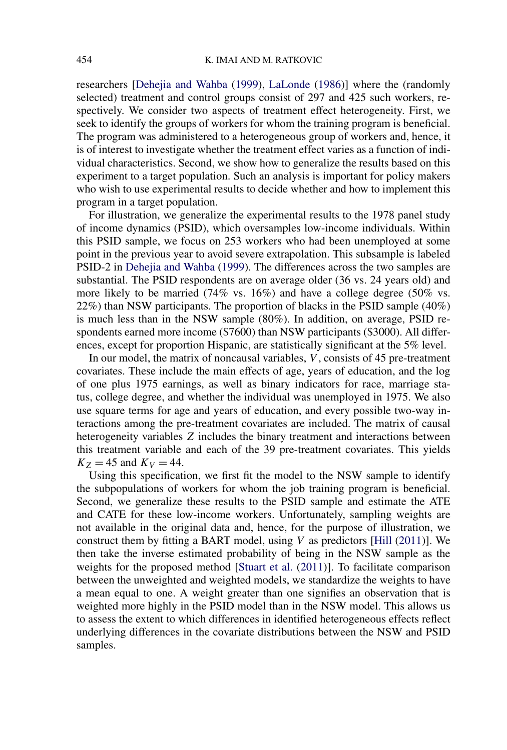researchers [\[Dehejia and Wahba](#page-25-0) [\(1999\)](#page-25-0), [LaLonde](#page-26-0) [\(1986\)](#page-26-0)] where the (randomly selected) treatment and control groups consist of 297 and 425 such workers, respectively. We consider two aspects of treatment effect heterogeneity. First, we seek to identify the groups of workers for whom the training program is beneficial. The program was administered to a heterogeneous group of workers and, hence, it is of interest to investigate whether the treatment effect varies as a function of individual characteristics. Second, we show how to generalize the results based on this experiment to a target population. Such an analysis is important for policy makers who wish to use experimental results to decide whether and how to implement this program in a target population.

For illustration, we generalize the experimental results to the 1978 panel study of income dynamics (PSID), which oversamples low-income individuals. Within this PSID sample, we focus on 253 workers who had been unemployed at some point in the previous year to avoid severe extrapolation. This subsample is labeled PSID-2 in [Dehejia and Wahba](#page-25-0) [\(1999\)](#page-25-0). The differences across the two samples are substantial. The PSID respondents are on average older (36 vs. 24 years old) and more likely to be married (74% vs. 16%) and have a college degree (50% vs. 22%) than NSW participants. The proportion of blacks in the PSID sample (40%) is much less than in the NSW sample (80%). In addition, on average, PSID respondents earned more income (\$7600) than NSW participants (\$3000). All differences, except for proportion Hispanic, are statistically significant at the 5% level.

In our model, the matrix of noncausal variables, *V* , consists of 45 pre-treatment covariates. These include the main effects of age, years of education, and the log of one plus 1975 earnings, as well as binary indicators for race, marriage status, college degree, and whether the individual was unemployed in 1975. We also use square terms for age and years of education, and every possible two-way interactions among the pre-treatment covariates are included. The matrix of causal heterogeneity variables *Z* includes the binary treatment and interactions between this treatment variable and each of the 39 pre-treatment covariates. This yields  $K_Z = 45$  and  $K_V = 44$ .

Using this specification, we first fit the model to the NSW sample to identify the subpopulations of workers for whom the job training program is beneficial. Second, we generalize these results to the PSID sample and estimate the ATE and CATE for these low-income workers. Unfortunately, sampling weights are not available in the original data and, hence, for the purpose of illustration, we construct them by fitting a BART model, using *V* as predictors [\[Hill](#page-25-0) [\(2011\)](#page-25-0)]. We then take the inverse estimated probability of being in the NSW sample as the weights for the proposed method [\[Stuart et al.](#page-27-0) [\(2011\)](#page-27-0)]. To facilitate comparison between the unweighted and weighted models, we standardize the weights to have a mean equal to one. A weight greater than one signifies an observation that is weighted more highly in the PSID model than in the NSW model. This allows us to assess the extent to which differences in identified heterogeneous effects reflect underlying differences in the covariate distributions between the NSW and PSID samples.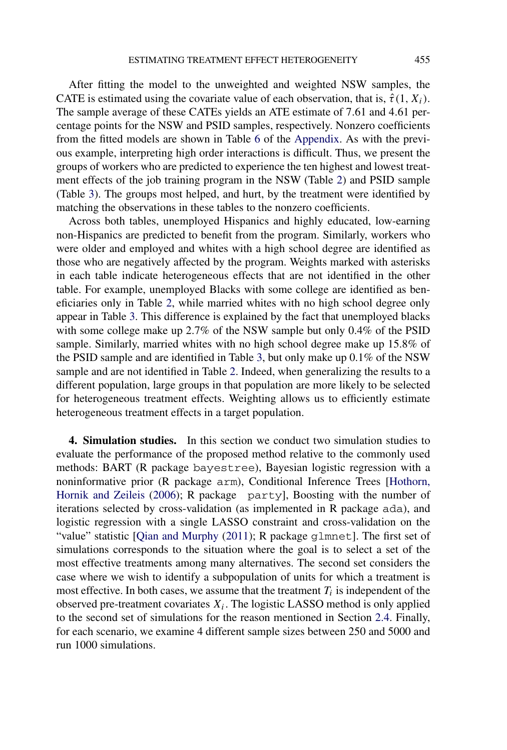<span id="page-12-0"></span>After fitting the model to the unweighted and weighted NSW samples, the CATE is estimated using the covariate value of each observation, that is,  $\hat{\tau}(1, X_i)$ . The sample average of these CATEs yields an ATE estimate of 7*.*61 and 4*.*61 percentage points for the NSW and PSID samples, respectively. Nonzero coefficients from the fitted models are shown in Table [6](#page-24-0) of the [Appendix.](#page-23-0) As with the previous example, interpreting high order interactions is difficult. Thus, we present the groups of workers who are predicted to experience the ten highest and lowest treatment effects of the job training program in the NSW (Table [2\)](#page-13-0) and PSID sample (Table [3\)](#page-14-0). The groups most helped, and hurt, by the treatment were identified by matching the observations in these tables to the nonzero coefficients.

Across both tables, unemployed Hispanics and highly educated, low-earning non-Hispanics are predicted to benefit from the program. Similarly, workers who were older and employed and whites with a high school degree are identified as those who are negatively affected by the program. Weights marked with asterisks in each table indicate heterogeneous effects that are not identified in the other table. For example, unemployed Blacks with some college are identified as beneficiaries only in Table [2,](#page-13-0) while married whites with no high school degree only appear in Table [3.](#page-14-0) This difference is explained by the fact that unemployed blacks with some college make up 2.7% of the NSW sample but only 0.4% of the PSID sample. Similarly, married whites with no high school degree make up 15.8% of the PSID sample and are identified in Table [3,](#page-14-0) but only make up 0.1% of the NSW sample and are not identified in Table [2.](#page-13-0) Indeed, when generalizing the results to a different population, large groups in that population are more likely to be selected for heterogeneous treatment effects. Weighting allows us to efficiently estimate heterogeneous treatment effects in a target population.

**4. Simulation studies.** In this section we conduct two simulation studies to evaluate the performance of the proposed method relative to the commonly used methods: BART (R package bayestree), Bayesian logistic regression with a noninformative prior (R package arm), Conditional Inference Trees [\[Hothorn,](#page-25-0) [Hornik and Zeileis](#page-25-0) [\(2006\)](#page-25-0); R package party], Boosting with the number of iterations selected by cross-validation (as implemented in R package ada), and logistic regression with a single LASSO constraint and cross-validation on the "value" statistic [\[Qian and Murphy](#page-26-0) [\(2011\)](#page-26-0); R package q1mnet]. The first set of simulations corresponds to the situation where the goal is to select a set of the most effective treatments among many alternatives. The second set considers the case where we wish to identify a subpopulation of units for which a treatment is most effective. In both cases, we assume that the treatment  $T_i$  is independent of the observed pre-treatment covariates  $X_i$ . The logistic LASSO method is only applied to the second set of simulations for the reason mentioned in Section [2.4.](#page-6-0) Finally, for each scenario, we examine 4 different sample sizes between 250 and 5000 and run 1000 simulations.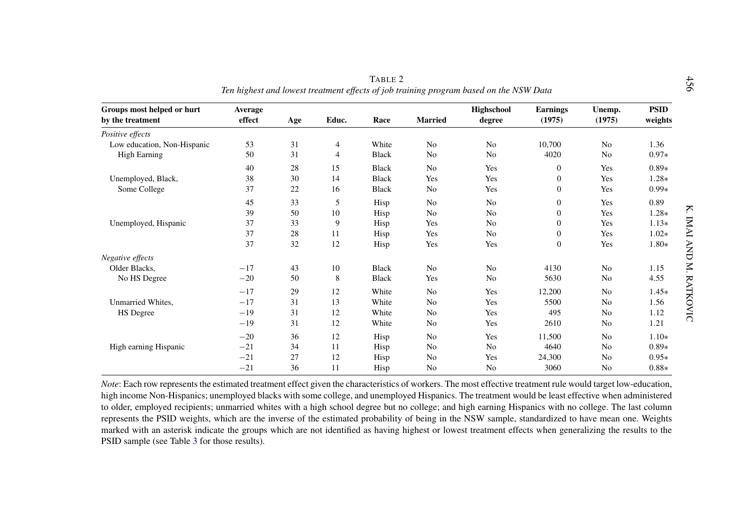<span id="page-13-0"></span>

| Groups most helped or hurt<br>by the treatment | Average<br>effect | Age | Educ. | Race         | <b>Married</b> | Highschool<br>degree | <b>Earnings</b><br>(1975) | Unemp.<br>(1975) | <b>PSID</b><br>weights |
|------------------------------------------------|-------------------|-----|-------|--------------|----------------|----------------------|---------------------------|------------------|------------------------|
| Positive effects                               |                   |     |       |              |                |                      |                           |                  |                        |
| Low education, Non-Hispanic                    | 53                | 31  | 4     | White        | No             | No                   | 10,700                    | No               | 1.36                   |
| <b>High Earning</b>                            | 50                | 31  | 4     | <b>Black</b> | No             | No                   | 4020                      | No               | $0.97*$                |
|                                                | 40                | 28  | 15    | <b>Black</b> | N <sub>0</sub> | Yes                  | $\theta$                  | Yes              | $0.89*$                |
| Unemployed, Black,                             | 38                | 30  | 14    | <b>Black</b> | Yes            | Yes                  | $\mathbf{0}$              | Yes              | $1.28*$                |
| Some College                                   | 37                | 22  | 16    | <b>Black</b> | No             | Yes                  | $\mathbf{0}$              | Yes              | $0.99*$                |
|                                                | 45                | 33  | 5     | Hisp         | N <sub>0</sub> | N <sub>0</sub>       | $\boldsymbol{0}$          | Yes              | 0.89                   |
|                                                | 39                | 50  | 10    | Hisp         | No             | No                   | $\mathbf{0}$              | Yes              | $1.28*$                |
| Unemployed, Hispanic                           | 37                | 33  | 9     | Hisp         | Yes            | N <sub>0</sub>       | $\mathbf{0}$              | Yes              | $1.13*$                |
|                                                | 37                | 28  | 11    | Hisp         | Yes            | No                   | $\boldsymbol{0}$          | Yes              | $1.02*$                |
|                                                | 37                | 32  | 12    | Hisp         | Yes            | Yes                  | $\theta$                  | Yes              | $1.80*$                |
| Negative effects                               |                   |     |       |              |                |                      |                           |                  |                        |
| Older Blacks.                                  | $-17$             | 43  | 10    | <b>Black</b> | No             | No                   | 4130                      | No               | 1.15                   |
| No HS Degree                                   | $-20$             | 50  | 8     | <b>Black</b> | Yes            | N <sub>0</sub>       | 5630                      | No               | 4.55                   |
|                                                | $-17$             | 29  | 12    | White        | No             | Yes                  | 12,200                    | No               | $1.45*$                |
| Unmarried Whites.                              | $-17$             | 31  | 13    | White        | No             | Yes                  | 5500                      | No               | 1.56                   |
| HS Degree                                      | $-19$             | 31  | 12    | White        | No             | Yes                  | 495                       | No               | 1.12                   |
|                                                | $-19$             | 31  | 12    | White        | No             | Yes                  | 2610                      | No               | 1.21                   |
|                                                | $-20$             | 36  | 12    | Hisp         | No             | Yes                  | 11,500                    | No               | $1.10*$                |
| High earning Hispanic                          | $-21$             | 34  | 11    | Hisp         | No             | No                   | 4640                      | No               | $0.89*$                |
|                                                | $-21$             | 27  | 12    | Hisp         | No             | Yes                  | 24,300                    | No               | $0.95*$                |
|                                                | $-21$             | 36  | 11    | Hisp         | No             | No                   | 3060                      | No               | $0.88*$                |

*Note*: Each row represents the estimated treatment effect given the characteristics of workers. The most effective treatment rule would target low-education, high income Non-Hispanics; unemployed blacks with some college, and unemployed Hispanics. The treatment would be least effective when administered to older, employed recipients; unmarried whites with <sup>a</sup> high school degree but no college; and high earning Hispanics with no college. The last column represents the PSID weights, which are the inverse of the estimated probability of being in the NSW sample, standardized to have mean one. Weights marked with an asterisk indicate the groups which are not identified as having highest or lowest treatment effects when generalizing the results to the PSID sample (see Table [3](#page-14-0) for those results).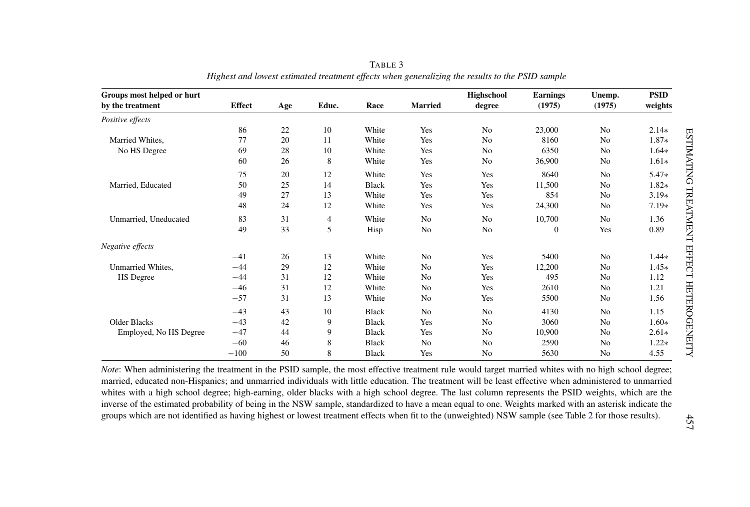<span id="page-14-0"></span>

| Groups most helped or hurt |               |     |       |              |                | Highschool     | <b>Earnings</b> | Unemp.         | <b>PSID</b> |
|----------------------------|---------------|-----|-------|--------------|----------------|----------------|-----------------|----------------|-------------|
| by the treatment           | <b>Effect</b> | Age | Educ. | Race         | <b>Married</b> | degree         | (1975)          | (1975)         | weights     |
| Positive effects           |               |     |       |              |                |                |                 |                |             |
|                            | 86            | 22  | 10    | White        | Yes            | No             | 23,000          | No             | $2.14*$     |
| Married Whites.            | 77            | 20  | 11    | White        | Yes            | No             | 8160            | N <sub>o</sub> | 1.87*       |
| No HS Degree               | 69            | 28  | 10    | White        | Yes            | No             | 6350            | N <sub>o</sub> | $1.64*$     |
|                            | 60            | 26  | 8     | White        | Yes            | No             | 36,900          | No             | $1.61*$     |
|                            | 75            | 20  | 12    | White        | Yes            | Yes            | 8640            | N <sub>o</sub> | $5.47*$     |
| Married, Educated          | 50            | 25  | 14    | <b>Black</b> | Yes            | Yes            | 11,500          | N <sub>o</sub> | 1.82*       |
|                            | 49            | 27  | 13    | White        | Yes            | Yes            | 854             | N <sub>o</sub> | $3.19*$     |
|                            | 48            | 24  | 12    | White        | Yes            | Yes            | 24,300          | N <sub>0</sub> | $7.19*$     |
| Unmarried, Uneducated      | 83            | 31  | 4     | White        | N <sub>o</sub> | N <sub>o</sub> | 10,700          | N <sub>0</sub> | 1.36        |
|                            | 49            | 33  | 5     | Hisp         | No             | No             | $\mathbf{0}$    | Yes            | 0.89        |
| Negative effects           |               |     |       |              |                |                |                 |                |             |
|                            | $-41$         | 26  | 13    | White        | No             | Yes            | 5400            | N <sub>0</sub> | $1.44*$     |
| Unmarried Whites.          | $-44$         | 29  | 12    | White        | No             | Yes            | 12,200          | N <sub>0</sub> | $1.45*$     |
| HS Degree                  | $-44$         | 31  | 12    | White        | N <sub>o</sub> | Yes            | 495             | N <sub>0</sub> | 1.12        |
|                            | $-46$         | 31  | 12    | White        | No             | Yes            | 2610            | N <sub>0</sub> | 1.21        |
|                            | $-57$         | 31  | 13    | White        | No             | Yes            | 5500            | N <sub>0</sub> | 1.56        |
|                            | $-43$         | 43  | 10    | <b>Black</b> | N <sub>o</sub> | N <sub>o</sub> | 4130            | N <sub>0</sub> | 1.15        |
| <b>Older Blacks</b>        | $-43$         | 42  | 9     | <b>Black</b> | Yes            | No             | 3060            | N <sub>0</sub> | $1.60*$     |
| Employed, No HS Degree     | $-47$         | 44  | 9     | <b>Black</b> | Yes            | No             | 10,900          | N <sub>0</sub> | $2.61*$     |
|                            | $-60$         | 46  | 8     | <b>Black</b> | No             | No             | 2590            | No             | $1.22*$     |
|                            | $-100$        | 50  | 8     | <b>Black</b> | Yes            | N <sub>o</sub> | 5630            | N <sub>0</sub> | 4.55        |

TABLE 3 Highest and lowest estimated treatment effects when generalizing the results to the PSID sample

*Note*: When administering the treatment in the PSID sample, the most effective treatment rule would target married whites with no high school degree; married, educated non-Hispanics; and unmarried individuals with little education. The treatment will be least effective when administered to unmarried whites with <sup>a</sup> high school degree; high-earning, older blacks with <sup>a</sup> high school degree. The last column represents the PSID weights, which are the inverse of the estimated probability of being in the NSW sample, standardized to have <sup>a</sup> mean equal to one. Weights marked with an asterisk indicate the groups which are not identified as having highest or lowest treatment effects when fit to the (unweighted) NSW sample (see Table [2](#page-13-0) for those results).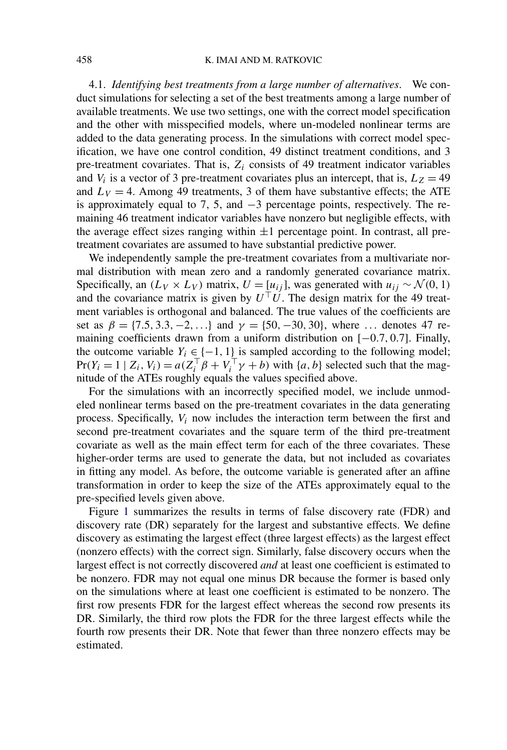<span id="page-15-0"></span>4.1. *Identifying best treatments from a large number of alternatives*. We conduct simulations for selecting a set of the best treatments among a large number of available treatments. We use two settings, one with the correct model specification and the other with misspecified models, where un-modeled nonlinear terms are added to the data generating process. In the simulations with correct model specification, we have one control condition, 49 distinct treatment conditions, and 3 pre-treatment covariates. That is,  $Z_i$  consists of 49 treatment indicator variables and  $V_i$  is a vector of 3 pre-treatment covariates plus an intercept, that is,  $L_z = 49$ and  $L_V = 4$ . Among 49 treatments, 3 of them have substantive effects; the ATE is approximately equal to 7, 5, and −3 percentage points, respectively. The remaining 46 treatment indicator variables have nonzero but negligible effects, with the average effect sizes ranging within  $\pm 1$  percentage point. In contrast, all pretreatment covariates are assumed to have substantial predictive power.

We independently sample the pre-treatment covariates from a multivariate normal distribution with mean zero and a randomly generated covariance matrix. Specifically, an  $(L_V \times L_V)$  matrix,  $U = [u_{ij}]$ , was generated with  $u_{ij} \sim \mathcal{N}(0, 1)$ and the covariance matrix is given by  $U^{\top}U$ . The design matrix for the 49 treatment variables is orthogonal and balanced. The true values of the coefficients are set as  $\beta = \{7.5, 3.3, -2, ...\}$  and  $\gamma = \{50, -30, 30\}$ , where ... denotes 47 remaining coefficients drawn from a uniform distribution on [−0*.*7*,* 0*.*7]. Finally, the outcome variable  $Y_i \in \{-1, 1\}$  is sampled according to the following model;  $Pr(Y_i = 1 \mid Z_i, V_i) = a(Z_i^\top \beta + V_i^\top \gamma + b)$  with  $\{a, b\}$  selected such that the magnitude of the ATEs roughly equals the values specified above.

For the simulations with an incorrectly specified model, we include unmodeled nonlinear terms based on the pre-treatment covariates in the data generating process. Specifically, *Vi* now includes the interaction term between the first and second pre-treatment covariates and the square term of the third pre-treatment covariate as well as the main effect term for each of the three covariates. These higher-order terms are used to generate the data, but not included as covariates in fitting any model. As before, the outcome variable is generated after an affine transformation in order to keep the size of the ATEs approximately equal to the pre-specified levels given above.

Figure [1](#page-16-0) summarizes the results in terms of false discovery rate (FDR) and discovery rate (DR) separately for the largest and substantive effects. We define discovery as estimating the largest effect (three largest effects) as the largest effect (nonzero effects) with the correct sign. Similarly, false discovery occurs when the largest effect is not correctly discovered *and* at least one coefficient is estimated to be nonzero. FDR may not equal one minus DR because the former is based only on the simulations where at least one coefficient is estimated to be nonzero. The first row presents FDR for the largest effect whereas the second row presents its DR. Similarly, the third row plots the FDR for the three largest effects while the fourth row presents their DR. Note that fewer than three nonzero effects may be estimated.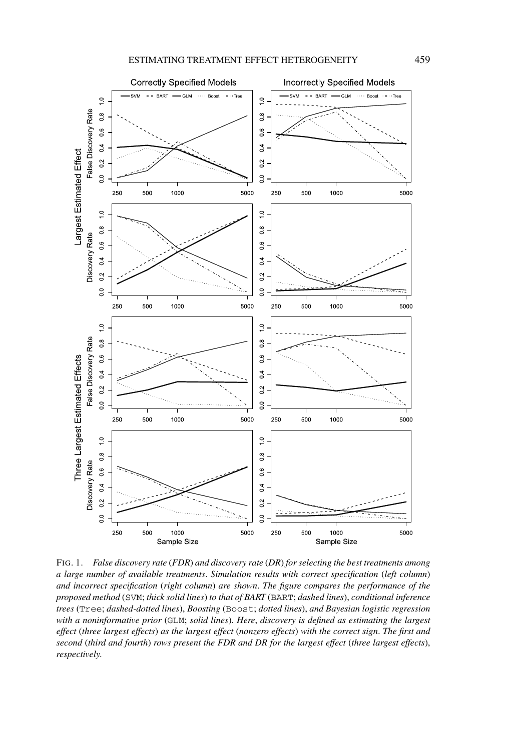<span id="page-16-0"></span>

FIG. 1. *False discovery rate* (*FDR*) *and discovery rate* (*DR*) *for selecting the best treatments among a large number of available treatments*. *Simulation results with correct specification* (*left column*) *and incorrect specification* (*right column*) *are shown*. *The figure compares the performance of the proposed method* (SVM; *thick solid lines*) *to that of BART* (BART; *dashed lines*), *conditional inference trees* (Tree; *dashed-dotted lines*), *Boosting* (Boost; *dotted lines*), *and Bayesian logistic regression with a noninformative prior* (GLM; *solid lines*). *Here*, *discovery is defined as estimating the largest effect* (*three largest effects*) *as the largest effect* (*nonzero effects*) *with the correct sign*. *The first and second* (*third and fourth*) *rows present the FDR and DR for the largest effect* (*three largest effects*), *respectively*.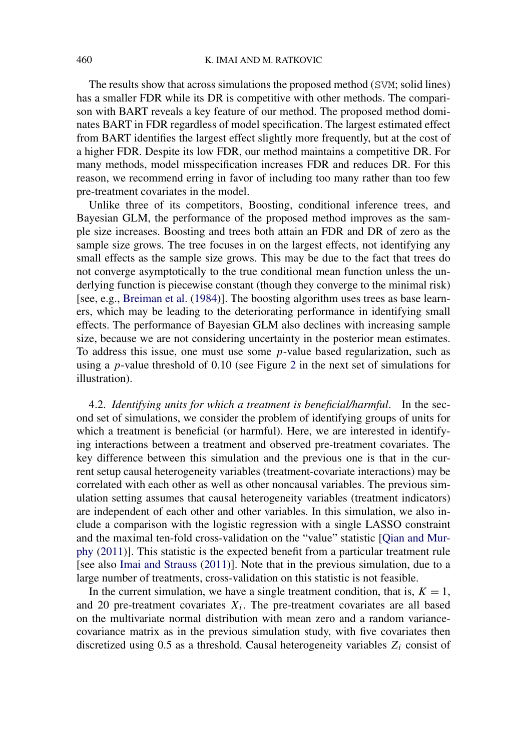The results show that across simulations the proposed method (SVM; solid lines) has a smaller FDR while its DR is competitive with other methods. The comparison with BART reveals a key feature of our method. The proposed method dominates BART in FDR regardless of model specification. The largest estimated effect from BART identifies the largest effect slightly more frequently, but at the cost of a higher FDR. Despite its low FDR, our method maintains a competitive DR. For many methods, model misspecification increases FDR and reduces DR. For this reason, we recommend erring in favor of including too many rather than too few pre-treatment covariates in the model.

Unlike three of its competitors, Boosting, conditional inference trees, and Bayesian GLM, the performance of the proposed method improves as the sample size increases. Boosting and trees both attain an FDR and DR of zero as the sample size grows. The tree focuses in on the largest effects, not identifying any small effects as the sample size grows. This may be due to the fact that trees do not converge asymptotically to the true conditional mean function unless the underlying function is piecewise constant (though they converge to the minimal risk) [see, e.g., [Breiman et al.](#page-24-0) [\(1984\)](#page-24-0)]. The boosting algorithm uses trees as base learners, which may be leading to the deteriorating performance in identifying small effects. The performance of Bayesian GLM also declines with increasing sample size, because we are not considering uncertainty in the posterior mean estimates. To address this issue, one must use some *p*-value based regularization, such as using a *p*-value threshold of 0*.*10 (see Figure [2](#page-18-0) in the next set of simulations for illustration).

4.2. *Identifying units for which a treatment is beneficial/harmful*. In the second set of simulations, we consider the problem of identifying groups of units for which a treatment is beneficial (or harmful). Here, we are interested in identifying interactions between a treatment and observed pre-treatment covariates. The key difference between this simulation and the previous one is that in the current setup causal heterogeneity variables (treatment-covariate interactions) may be correlated with each other as well as other noncausal variables. The previous simulation setting assumes that causal heterogeneity variables (treatment indicators) are independent of each other and other variables. In this simulation, we also include a comparison with the logistic regression with a single LASSO constraint and the maximal ten-fold cross-validation on the "value" statistic [\[Qian and Mur](#page-26-0)[phy](#page-26-0) [\(2011\)](#page-26-0)]. This statistic is the expected benefit from a particular treatment rule [see also [Imai and Strauss](#page-25-0) [\(2011\)](#page-25-0)]. Note that in the previous simulation, due to a large number of treatments, cross-validation on this statistic is not feasible.

In the current simulation, we have a single treatment condition, that is,  $K = 1$ , and 20 pre-treatment covariates  $X_i$ . The pre-treatment covariates are all based on the multivariate normal distribution with mean zero and a random variancecovariance matrix as in the previous simulation study, with five covariates then discretized using 0.5 as a threshold. Causal heterogeneity variables *Zi* consist of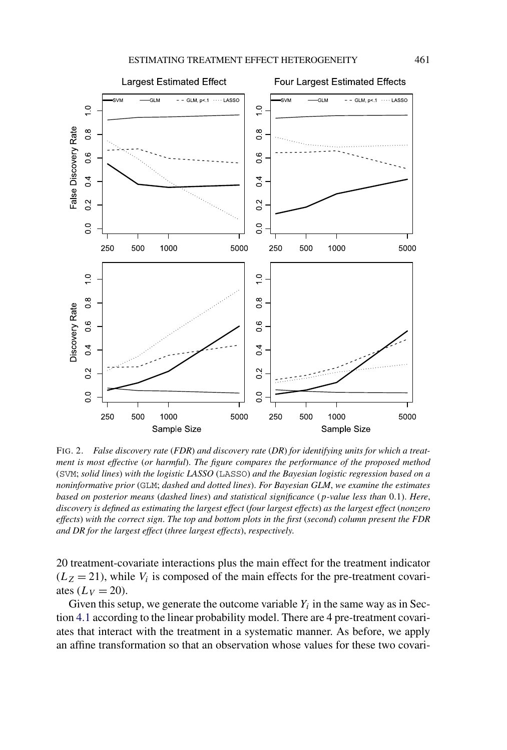<span id="page-18-0"></span>

FIG. 2. *False discovery rate* (*FDR*) *and discovery rate* (*DR*) *for identifying units for which a treatment is most effective* (*or harmful*). *The figure compares the performance of the proposed method* (SVM; *solid lines*) *with the logistic LASSO* (LASSO) *and the Bayesian logistic regression based on a noninformative prior* (GLM; *dashed and dotted lines*). *For Bayesian GLM*, *we examine the estimates based on posterior means* (*dashed lines*) *and statistical significance* (*p-value less than* 0*.*1). *Here*, *discovery is defined as estimating the largest effect* (*four largest effects*) *as the largest effect* (*nonzero effects*) *with the correct sign*. *The top and bottom plots in the first* (*second*) *column present the FDR and DR for the largest effect* (*three largest effects*), *respectively*.

20 treatment-covariate interactions plus the main effect for the treatment indicator  $(L_Z = 21)$ , while  $V_i$  is composed of the main effects for the pre-treatment covariates  $(L_V = 20)$ .

Given this setup, we generate the outcome variable  $Y_i$  in the same way as in Section [4.1](#page-15-0) according to the linear probability model. There are 4 pre-treatment covariates that interact with the treatment in a systematic manner. As before, we apply an affine transformation so that an observation whose values for these two covari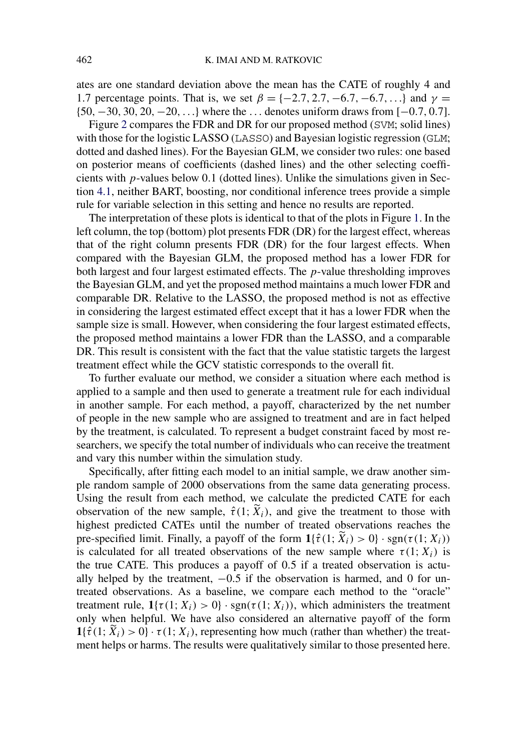ates are one standard deviation above the mean has the CATE of roughly 4 and 1.7 percentage points. That is, we set  $\beta = \{-2.7, 2.7, -6.7, -6.7, ...\}$  and  $\gamma =$ {50*,*−30*,* 30*,* 20*,*−20*,...*} where the *...* denotes uniform draws from [−0*.*7*,* 0*.*7].

Figure [2](#page-18-0) compares the FDR and DR for our proposed method (SVM; solid lines) with those for the logistic LASSO (LASSO) and Bayesian logistic regression (GLM; dotted and dashed lines). For the Bayesian GLM, we consider two rules: one based on posterior means of coefficients (dashed lines) and the other selecting coefficients with *p*-values below 0*.*1 (dotted lines). Unlike the simulations given in Section [4.1,](#page-15-0) neither BART, boosting, nor conditional inference trees provide a simple rule for variable selection in this setting and hence no results are reported.

The interpretation of these plots is identical to that of the plots in Figure [1.](#page-16-0) In the left column, the top (bottom) plot presents FDR (DR) for the largest effect, whereas that of the right column presents FDR (DR) for the four largest effects. When compared with the Bayesian GLM, the proposed method has a lower FDR for both largest and four largest estimated effects. The *p*-value thresholding improves the Bayesian GLM, and yet the proposed method maintains a much lower FDR and comparable DR. Relative to the LASSO, the proposed method is not as effective in considering the largest estimated effect except that it has a lower FDR when the sample size is small. However, when considering the four largest estimated effects, the proposed method maintains a lower FDR than the LASSO, and a comparable DR. This result is consistent with the fact that the value statistic targets the largest treatment effect while the GCV statistic corresponds to the overall fit.

To further evaluate our method, we consider a situation where each method is applied to a sample and then used to generate a treatment rule for each individual in another sample. For each method, a payoff, characterized by the net number of people in the new sample who are assigned to treatment and are in fact helped by the treatment, is calculated. To represent a budget constraint faced by most researchers, we specify the total number of individuals who can receive the treatment and vary this number within the simulation study.

Specifically, after fitting each model to an initial sample, we draw another simple random sample of 2000 observations from the same data generating process. Using the result from each method, we calculate the predicted CATE for each observation of the new sample,  $\hat{\tau}(1; \tilde{X}_i)$ , and give the treatment to those with highest predicted CATEs until the number of treated observations reaches the pre-specified limit. Finally, a payoff of the form  $1\{\hat{\tau}(1; X_i) > 0\} \cdot \text{sgn}(\tau(1; X_i))$ is calculated for all treated observations of the new sample where  $\tau(1; X_i)$  is the true CATE. This produces a payoff of 0*.*5 if a treated observation is actually helped by the treatment, −0*.*5 if the observation is harmed, and 0 for untreated observations. As a baseline, we compare each method to the "oracle" treatment rule,  $\mathbf{1}\{\tau(1; X_i) > 0\} \cdot \text{sgn}(\tau(1; X_i))$ , which administers the treatment only when helpful. We have also considered an alternative payoff of the form  $\mathbf{1}\{\hat{\tau}(1; X_i) > 0\} \cdot \tau(1; X_i)$ , representing how much (rather than whether) the treatment helps or harms. The results were qualitatively similar to those presented here.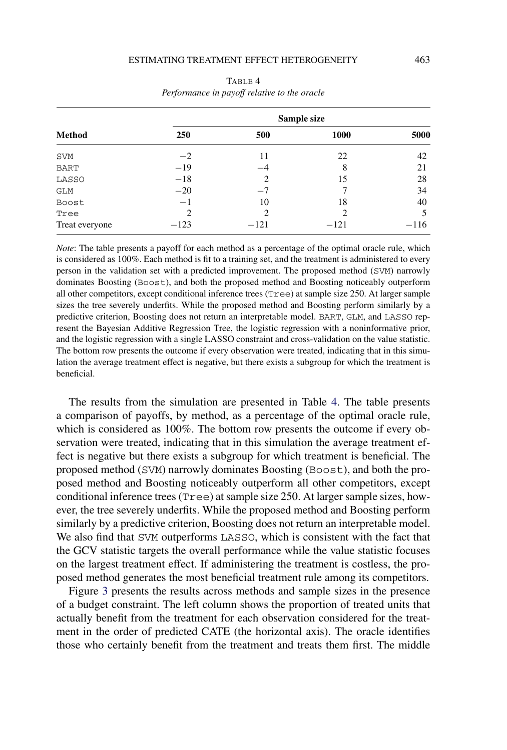|                | Sample size    |        |                |        |  |  |  |
|----------------|----------------|--------|----------------|--------|--|--|--|
| <b>Method</b>  | <b>250</b>     | 500    | <b>1000</b>    | 5000   |  |  |  |
| <b>SVM</b>     | $-2$           | 11     | 22             | 42     |  |  |  |
| <b>BART</b>    | $-19$          | $-4$   | 8              | 21     |  |  |  |
| LASSO          | $-18$          | 2      | 15             | 28     |  |  |  |
| GLM            | $-20$          | $-7$   |                | 34     |  |  |  |
| Boost          | $-1$           | 10     | 18             | 40     |  |  |  |
| Tree           | $\overline{c}$ | 2      | $\mathfrak{D}$ |        |  |  |  |
| Treat everyone | $-123$         | $-121$ | $-121$         | $-116$ |  |  |  |

TABLE 4 *Performance in payoff relative to the oracle*

*Note*: The table presents a payoff for each method as a percentage of the optimal oracle rule, which is considered as 100%. Each method is fit to a training set, and the treatment is administered to every person in the validation set with a predicted improvement. The proposed method (SVM) narrowly dominates Boosting (Boost), and both the proposed method and Boosting noticeably outperform all other competitors, except conditional inference trees (Tree) at sample size 250. At larger sample sizes the tree severely underfits. While the proposed method and Boosting perform similarly by a predictive criterion, Boosting does not return an interpretable model. BART, GLM, and LASSO represent the Bayesian Additive Regression Tree, the logistic regression with a noninformative prior, and the logistic regression with a single LASSO constraint and cross-validation on the value statistic. The bottom row presents the outcome if every observation were treated, indicating that in this simulation the average treatment effect is negative, but there exists a subgroup for which the treatment is beneficial.

The results from the simulation are presented in Table 4. The table presents a comparison of payoffs, by method, as a percentage of the optimal oracle rule, which is considered as 100%. The bottom row presents the outcome if every observation were treated, indicating that in this simulation the average treatment effect is negative but there exists a subgroup for which treatment is beneficial. The proposed method (SVM) narrowly dominates Boosting (Boost), and both the proposed method and Boosting noticeably outperform all other competitors, except conditional inference trees (Tree) at sample size 250. At larger sample sizes, however, the tree severely underfits. While the proposed method and Boosting perform similarly by a predictive criterion, Boosting does not return an interpretable model. We also find that SVM outperforms LASSO, which is consistent with the fact that the GCV statistic targets the overall performance while the value statistic focuses on the largest treatment effect. If administering the treatment is costless, the proposed method generates the most beneficial treatment rule among its competitors.

Figure [3](#page-21-0) presents the results across methods and sample sizes in the presence of a budget constraint. The left column shows the proportion of treated units that actually benefit from the treatment for each observation considered for the treatment in the order of predicted CATE (the horizontal axis). The oracle identifies those who certainly benefit from the treatment and treats them first. The middle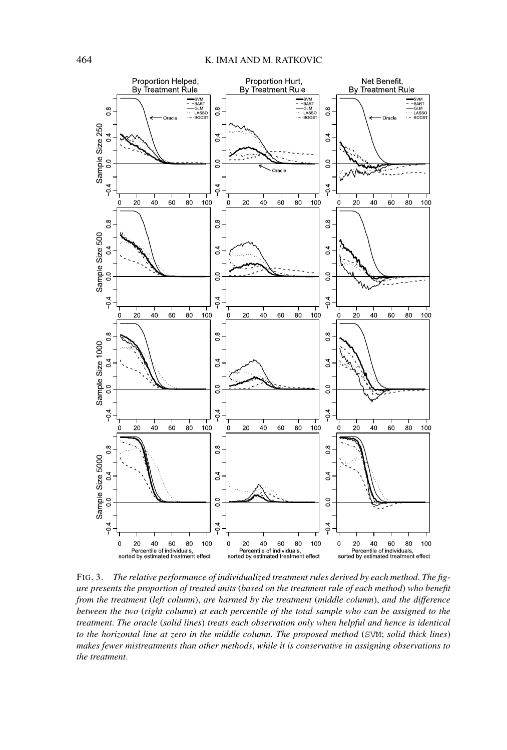<span id="page-21-0"></span>

FIG. 3. *The relative performance of individualized treatment rules derived by each method*. *The figure presents the proportion of treated units* (*based on the treatment rule of each method*) *who benefit from the treatment* (*left column*), *are harmed by the treatment* (*middle column*), *and the difference between the two* (*right column*) *at each percentile of the total sample who can be assigned to the treatment*. *The oracle* (*solid lines*) *treats each observation only when helpful and hence is identical to the horizontal line at zero in the middle column*. *The proposed method* (SVM; *solid thick lines*) *makes fewer mistreatments than other methods*, *while it is conservative in assigning observations to the treatment*.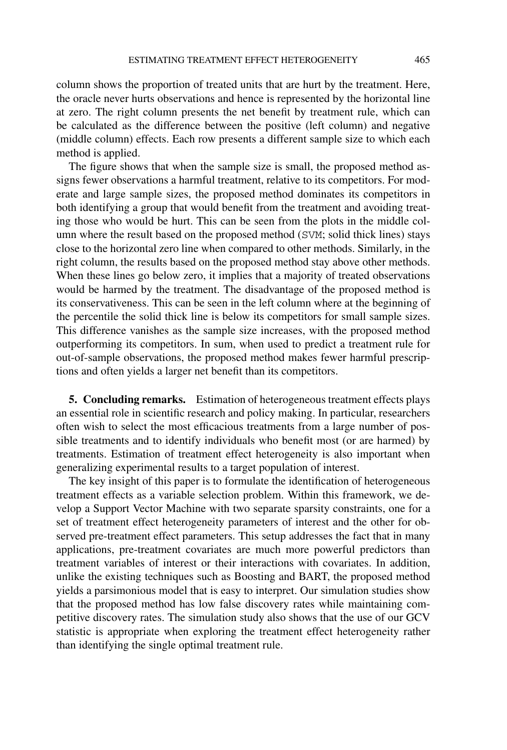column shows the proportion of treated units that are hurt by the treatment. Here, the oracle never hurts observations and hence is represented by the horizontal line at zero. The right column presents the net benefit by treatment rule, which can be calculated as the difference between the positive (left column) and negative (middle column) effects. Each row presents a different sample size to which each method is applied.

The figure shows that when the sample size is small, the proposed method assigns fewer observations a harmful treatment, relative to its competitors. For moderate and large sample sizes, the proposed method dominates its competitors in both identifying a group that would benefit from the treatment and avoiding treating those who would be hurt. This can be seen from the plots in the middle column where the result based on the proposed method (SVM; solid thick lines) stays close to the horizontal zero line when compared to other methods. Similarly, in the right column, the results based on the proposed method stay above other methods. When these lines go below zero, it implies that a majority of treated observations would be harmed by the treatment. The disadvantage of the proposed method is its conservativeness. This can be seen in the left column where at the beginning of the percentile the solid thick line is below its competitors for small sample sizes. This difference vanishes as the sample size increases, with the proposed method outperforming its competitors. In sum, when used to predict a treatment rule for out-of-sample observations, the proposed method makes fewer harmful prescriptions and often yields a larger net benefit than its competitors.

**5. Concluding remarks.** Estimation of heterogeneous treatment effects plays an essential role in scientific research and policy making. In particular, researchers often wish to select the most efficacious treatments from a large number of possible treatments and to identify individuals who benefit most (or are harmed) by treatments. Estimation of treatment effect heterogeneity is also important when generalizing experimental results to a target population of interest.

The key insight of this paper is to formulate the identification of heterogeneous treatment effects as a variable selection problem. Within this framework, we develop a Support Vector Machine with two separate sparsity constraints, one for a set of treatment effect heterogeneity parameters of interest and the other for observed pre-treatment effect parameters. This setup addresses the fact that in many applications, pre-treatment covariates are much more powerful predictors than treatment variables of interest or their interactions with covariates. In addition, unlike the existing techniques such as Boosting and BART, the proposed method yields a parsimonious model that is easy to interpret. Our simulation studies show that the proposed method has low false discovery rates while maintaining competitive discovery rates. The simulation study also shows that the use of our GCV statistic is appropriate when exploring the treatment effect heterogeneity rather than identifying the single optimal treatment rule.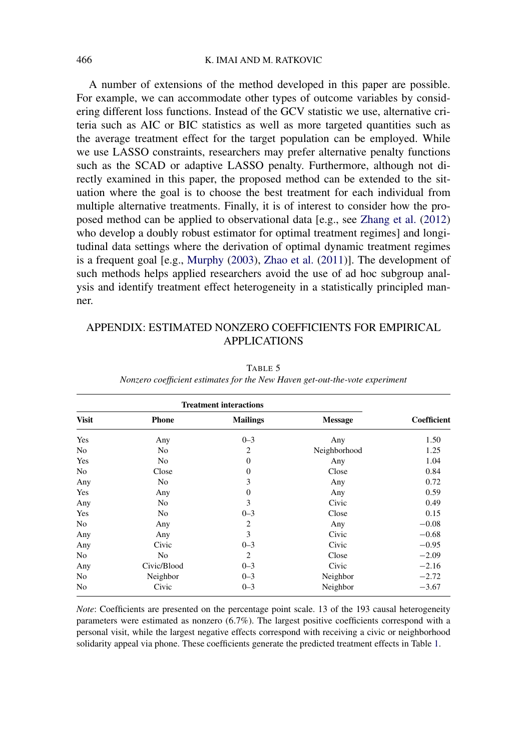### <span id="page-23-0"></span>466 K. IMAI AND M. RATKOVIC

A number of extensions of the method developed in this paper are possible. For example, we can accommodate other types of outcome variables by considering different loss functions. Instead of the GCV statistic we use, alternative criteria such as AIC or BIC statistics as well as more targeted quantities such as the average treatment effect for the target population can be employed. While we use LASSO constraints, researchers may prefer alternative penalty functions such as the SCAD or adaptive LASSO penalty. Furthermore, although not directly examined in this paper, the proposed method can be extended to the situation where the goal is to choose the best treatment for each individual from multiple alternative treatments. Finally, it is of interest to consider how the proposed method can be applied to observational data [e.g., see [Zhang et al.](#page-27-0) [\(2012\)](#page-27-0) who develop a doubly robust estimator for optimal treatment regimes] and longitudinal data settings where the derivation of optimal dynamic treatment regimes is a frequent goal [e.g., [Murphy](#page-26-0) [\(2003\)](#page-26-0), [Zhao et al.](#page-27-0) [\(2011\)](#page-27-0)]. The development of such methods helps applied researchers avoid the use of ad hoc subgroup analysis and identify treatment effect heterogeneity in a statistically principled manner.

# APPENDIX: ESTIMATED NONZERO COEFFICIENTS FOR EMPIRICAL APPLICATIONS

|              | <b>Treatment interactions</b> |                  |                |                    |  |  |
|--------------|-------------------------------|------------------|----------------|--------------------|--|--|
| <b>Visit</b> | <b>Phone</b>                  | <b>Mailings</b>  | <b>Message</b> | <b>Coefficient</b> |  |  |
| Yes          | Any                           | $0 - 3$          | Any            | 1.50               |  |  |
| No           | No                            | $\overline{2}$   | Neighborhood   | 1.25               |  |  |
| Yes          | No                            | $\overline{0}$   | Any            | 1.04               |  |  |
| No           | Close                         | $\boldsymbol{0}$ | Close          | 0.84               |  |  |
| Any          | No                            | 3                | Any            | 0.72               |  |  |
| Yes          | Any                           | $\boldsymbol{0}$ | Any            | 0.59               |  |  |
| Any          | No                            | 3                | Civic          | 0.49               |  |  |
| Yes          | No                            | $0 - 3$          | Close          | 0.15               |  |  |
| No           | Any                           | $\overline{2}$   | Any            | $-0.08$            |  |  |
| Any          | Any                           | 3                | Civic          | $-0.68$            |  |  |
| Any          | Civic                         | $0 - 3$          | Civic          | $-0.95$            |  |  |
| No           | No                            | $\overline{2}$   | Close          | $-2.09$            |  |  |
| Any          | Civic/Blood                   | $0 - 3$          | Civic          | $-2.16$            |  |  |
| No           | Neighbor                      | $0 - 3$          | Neighbor       | $-2.72$            |  |  |
| No           | Civic                         | $0 - 3$          | Neighbor       | $-3.67$            |  |  |

TABLE 5 *Nonzero coefficient estimates for the New Haven get-out-the-vote experiment*

*Note*: Coefficients are presented on the percentage point scale. 13 of the 193 causal heterogeneity parameters were estimated as nonzero (6*.*7%). The largest positive coefficients correspond with a personal visit, while the largest negative effects correspond with receiving a civic or neighborhood solidarity appeal via phone. These coefficients generate the predicted treatment effects in Table [1.](#page-10-0)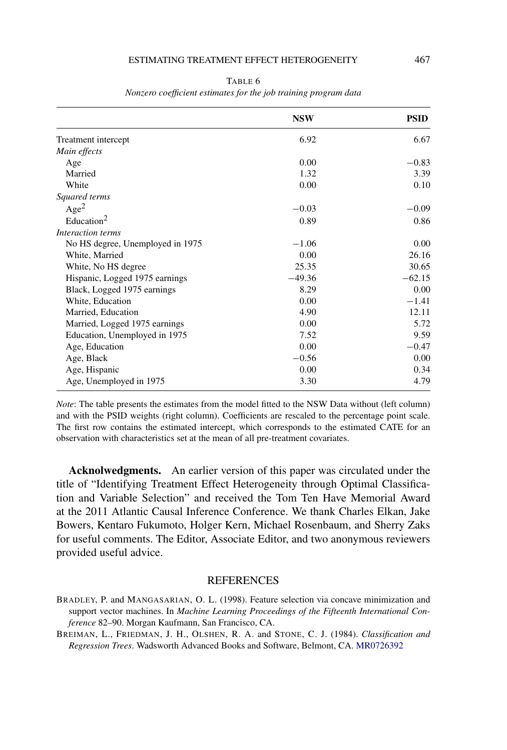#### ESTIMATING TREATMENT EFFECT HETEROGENEITY 467

<span id="page-24-0"></span>

|                                  | <b>NSW</b> | <b>PSID</b> |
|----------------------------------|------------|-------------|
| Treatment intercept              | 6.92       | 6.67        |
| Main effects                     |            |             |
| Age                              | 0.00       | $-0.83$     |
| Married                          | 1.32       | 3.39        |
| White                            | 0.00       | 0.10        |
| Squared terms                    |            |             |
| Age <sup>2</sup>                 | $-0.03$    | $-0.09$     |
| Education <sup>2</sup>           | 0.89       | 0.86        |
| Interaction terms                |            |             |
| No HS degree, Unemployed in 1975 | $-1.06$    | 0.00        |
| White, Married                   | 0.00       | 26.16       |
| White, No HS degree              | 25.35      | 30.65       |
| Hispanic, Logged 1975 earnings   | $-49.36$   | $-62.15$    |
| Black, Logged 1975 earnings      | 8.29       | 0.00        |
| White, Education                 | 0.00       | $-1.41$     |
| Married, Education               | 4.90       | 12.11       |
| Married, Logged 1975 earnings    | 0.00       | 5.72        |
| Education, Unemployed in 1975    | 7.52       | 9.59        |
| Age, Education                   | 0.00       | $-0.47$     |
| Age, Black                       | $-0.56$    | 0.00        |
| Age, Hispanic                    | 0.00       | 0.34        |
| Age, Unemployed in 1975          | 3.30       | 4.79        |

TABLE 6 *Nonzero coefficient estimates for the job training program data*

*Note*: The table presents the estimates from the model fitted to the NSW Data without (left column) and with the PSID weights (right column). Coefficients are rescaled to the percentage point scale. The first row contains the estimated intercept, which corresponds to the estimated CATE for an observation with characteristics set at the mean of all pre-treatment covariates.

**Acknolwedgments.** An earlier version of this paper was circulated under the title of "Identifying Treatment Effect Heterogeneity through Optimal Classification and Variable Selection" and received the Tom Ten Have Memorial Award at the 2011 Atlantic Causal Inference Conference. We thank Charles Elkan, Jake Bowers, Kentaro Fukumoto, Holger Kern, Michael Rosenbaum, and Sherry Zaks for useful comments. The Editor, Associate Editor, and two anonymous reviewers provided useful advice.

## REFERENCES

BRADLEY, P. and MANGASARIAN, O. L. (1998). Feature selection via concave minimization and support vector machines. In *Machine Learning Proceedings of the Fifteenth International Conference* 82–90. Morgan Kaufmann, San Francisco, CA.

BREIMAN, L., FRIEDMAN, J. H., OLSHEN, R. A. and STONE, C. J. (1984). *Classification and Regression Trees*. Wadsworth Advanced Books and Software, Belmont, CA. [MR0726392](http://www.ams.org/mathscinet-getitem?mr=0726392)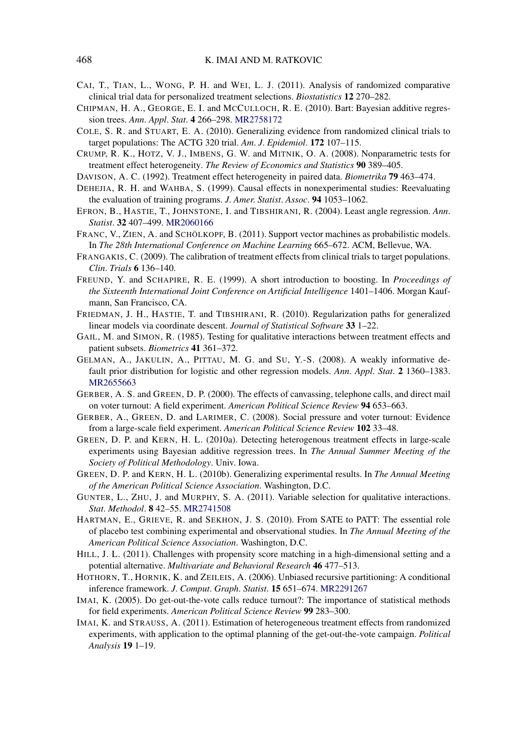- <span id="page-25-0"></span>CAI, T., TIAN, L., WONG, P. H. and WEI, L. J. (2011). Analysis of randomized comparative clinical trial data for personalized treatment selections. *Biostatistics* **12** 270–282.
- CHIPMAN, H. A., GEORGE, E. I. and MCCULLOCH, R. E. (2010). Bart: Bayesian additive regression trees. *Ann*. *Appl*. *Stat*. **4** 266–298. [MR2758172](http://www.ams.org/mathscinet-getitem?mr=2758172)
- COLE, S. R. and STUART, E. A. (2010). Generalizing evidence from randomized clinical trials to target populations: The ACTG 320 trial. *Am*. *J*. *Epidemiol*. **172** 107–115.
- CRUMP, R. K., HOTZ, V. J., IMBENS, G. W. and MITNIK, O. A. (2008). Nonparametric tests for treatment effect heterogeneity. *The Review of Economics and Statistics* **90** 389–405.
- DAVISON, A. C. (1992). Treatment effect heterogeneity in paired data. *Biometrika* **79** 463–474.
- DEHEJIA, R. H. and WAHBA, S. (1999). Causal effects in nonexperimental studies: Reevaluating the evaluation of training programs. *J*. *Amer*. *Statist*. *Assoc*. **94** 1053–1062.
- EFRON, B., HASTIE, T., JOHNSTONE, I. and TIBSHIRANI, R. (2004). Least angle regression. *Ann*. *Statist*. **32** 407–499. [MR2060166](http://www.ams.org/mathscinet-getitem?mr=2060166)
- FRANC, V., ZIEN, A. and SCHÖLKOPF, B. (2011). Support vector machines as probabilistic models. In *The 28th International Conference on Machine Learning* 665–672. ACM, Bellevue, WA.
- FRANGAKIS, C. (2009). The calibration of treatment effects from clinical trials to target populations. *Clin*. *Trials* **6** 136–140.
- FREUND, Y. and SCHAPIRE, R. E. (1999). A short introduction to boosting. In *Proceedings of the Sixteenth International Joint Conference on Artificial Intelligence* 1401–1406. Morgan Kaufmann, San Francisco, CA.
- FRIEDMAN, J. H., HASTIE, T. and TIBSHIRANI, R. (2010). Regularization paths for generalized linear models via coordinate descent. *Journal of Statistical Software* **33** 1–22.
- GAIL, M. and SIMON, R. (1985). Testing for qualitative interactions between treatment effects and patient subsets. *Biometrics* **41** 361–372.
- GELMAN, A., JAKULIN, A., PITTAU, M. G. and SU, Y.-S. (2008). A weakly informative default prior distribution for logistic and other regression models. *Ann*. *Appl*. *Stat*. **2** 1360–1383. [MR2655663](http://www.ams.org/mathscinet-getitem?mr=2655663)
- GERBER, A. S. and GREEN, D. P. (2000). The effects of canvassing, telephone calls, and direct mail on voter turnout: A field experiment. *American Political Science Review* **94** 653–663.
- GERBER, A., GREEN, D. and LARIMER, C. (2008). Social pressure and voter turnout: Evidence from a large-scale field experiment. *American Political Science Review* **102** 33–48.
- GREEN, D. P. and KERN, H. L. (2010a). Detecting heterogenous treatment effects in large-scale experiments using Bayesian additive regression trees. In *The Annual Summer Meeting of the Society of Political Methodology*. Univ. Iowa.
- GREEN, D. P. and KERN, H. L. (2010b). Generalizing experimental results. In *The Annual Meeting of the American Political Science Association*. Washington, D.C.
- GUNTER, L., ZHU, J. and MURPHY, S. A. (2011). Variable selection for qualitative interactions. *Stat*. *Methodol*. **8** 42–55. [MR2741508](http://www.ams.org/mathscinet-getitem?mr=2741508)
- HARTMAN, E., GRIEVE, R. and SEKHON, J. S. (2010). From SATE to PATT: The essential role of placebo test combining experimental and observational studies. In *The Annual Meeting of the American Political Science Association*. Washington, D.C.
- HILL, J. L. (2011). Challenges with propensity score matching in a high-dimensional setting and a potential alternative. *Multivariate and Behavioral Research* **46** 477–513.
- HOTHORN, T., HORNIK, K. and ZEILEIS, A. (2006). Unbiased recursive partitioning: A conditional inference framework. *J*. *Comput*. *Graph*. *Statist*. **15** 651–674. [MR2291267](http://www.ams.org/mathscinet-getitem?mr=2291267)
- IMAI, K. (2005). Do get-out-the-vote calls reduce turnout?: The importance of statistical methods for field experiments. *American Political Science Review* **99** 283–300.
- IMAI, K. and STRAUSS, A. (2011). Estimation of heterogeneous treatment effects from randomized experiments, with application to the optimal planning of the get-out-the-vote campaign. *Political Analysis* **19** 1–19.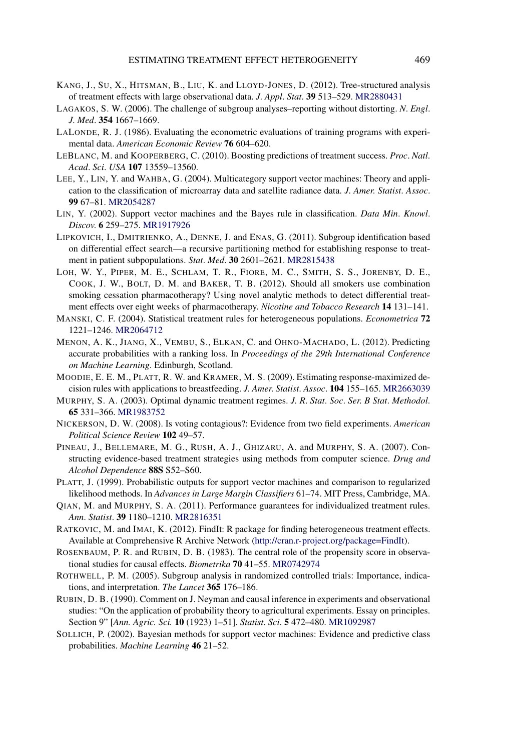- <span id="page-26-0"></span>KANG, J., SU, X., HITSMAN, B., LIU, K. and LLOYD-JONES, D. (2012). Tree-structured analysis of treatment effects with large observational data. *J*. *Appl*. *Stat*. **39** 513–529. [MR2880431](http://www.ams.org/mathscinet-getitem?mr=2880431)
- LAGAKOS, S. W. (2006). The challenge of subgroup analyses–reporting without distorting. *N*. *Engl*. *J*. *Med*. **354** 1667–1669.
- LALONDE, R. J. (1986). Evaluating the econometric evaluations of training programs with experimental data. *American Economic Review* **76** 604–620.
- LEBLANC, M. and KOOPERBERG, C. (2010). Boosting predictions of treatment success. *Proc*. *Natl*. *Acad*. *Sci*. *USA* **107** 13559–13560.
- LEE, Y., LIN, Y. and WAHBA, G. (2004). Multicategory support vector machines: Theory and application to the classification of microarray data and satellite radiance data. *J*. *Amer*. *Statist*. *Assoc*. **99** 67–81. [MR2054287](http://www.ams.org/mathscinet-getitem?mr=2054287)
- LIN, Y. (2002). Support vector machines and the Bayes rule in classification. *Data Min*. *Knowl*. *Discov*. **6** 259–275. [MR1917926](http://www.ams.org/mathscinet-getitem?mr=1917926)
- LIPKOVICH, I., DMITRIENKO, A., DENNE, J. and ENAS, G. (2011). Subgroup identification based on differential effect search—a recursive partitioning method for establishing response to treatment in patient subpopulations. *Stat*. *Med*. **30** 2601–2621. [MR2815438](http://www.ams.org/mathscinet-getitem?mr=2815438)
- LOH, W. Y., PIPER, M. E., SCHLAM, T. R., FIORE, M. C., SMITH, S. S., JORENBY, D. E., COOK, J. W., BOLT, D. M. and BAKER, T. B. (2012). Should all smokers use combination smoking cessation pharmacotherapy? Using novel analytic methods to detect differential treatment effects over eight weeks of pharmacotherapy. *Nicotine and Tobacco Research* **14** 131–141.
- MANSKI, C. F. (2004). Statistical treatment rules for heterogeneous populations. *Econometrica* **72** 1221–1246. [MR2064712](http://www.ams.org/mathscinet-getitem?mr=2064712)
- MENON, A. K., JIANG, X., VEMBU, S., ELKAN, C. and OHNO-MACHADO, L. (2012). Predicting accurate probabilities with a ranking loss. In *Proceedings of the 29th International Conference on Machine Learning*. Edinburgh, Scotland.
- MOODIE, E. E. M., PLATT, R. W. and KRAMER, M. S. (2009). Estimating response-maximized decision rules with applications to breastfeeding. *J*. *Amer*. *Statist*. *Assoc*. **104** 155–165. [MR2663039](http://www.ams.org/mathscinet-getitem?mr=2663039)
- MURPHY, S. A. (2003). Optimal dynamic treatment regimes. *J*. *R*. *Stat*. *Soc*. *Ser*. *B Stat*. *Methodol*. **65** 331–366. [MR1983752](http://www.ams.org/mathscinet-getitem?mr=1983752)
- NICKERSON, D. W. (2008). Is voting contagious?: Evidence from two field experiments. *American Political Science Review* **102** 49–57.
- PINEAU, J., BELLEMARE, M. G., RUSH, A. J., GHIZARU, A. and MURPHY, S. A. (2007). Constructing evidence-based treatment strategies using methods from computer science. *Drug and Alcohol Dependence* **88S** S52–S60.
- PLATT, J. (1999). Probabilistic outputs for support vector machines and comparison to regularized likelihood methods. In *Advances in Large Margin Classifiers* 61–74. MIT Press, Cambridge, MA.
- QIAN, M. and MURPHY, S. A. (2011). Performance guarantees for individualized treatment rules. *Ann*. *Statist*. **39** 1180–1210. [MR2816351](http://www.ams.org/mathscinet-getitem?mr=2816351)
- RATKOVIC, M. and IMAI, K. (2012). FindIt: R package for finding heterogeneous treatment effects. Available at Comprehensive R Archive Network [\(http://cran.r-project.org/package=FindIt\)](http://cran.r-project.org/package=FindIt).
- ROSENBAUM, P. R. and RUBIN, D. B. (1983). The central role of the propensity score in observational studies for causal effects. *Biometrika* **70** 41–55. [MR0742974](http://www.ams.org/mathscinet-getitem?mr=0742974)
- ROTHWELL, P. M. (2005). Subgroup analysis in randomized controlled trials: Importance, indications, and interpretation. *The Lancet* **365** 176–186.
- RUBIN, D. B. (1990). Comment on J. Neyman and causal inference in experiments and observational studies: "On the application of probability theory to agricultural experiments. Essay on principles. Section 9" [*Ann. Agric. Sci.* **10** (1923) 1–51]. *Statist*. *Sci*. **5** 472–480. [MR1092987](http://www.ams.org/mathscinet-getitem?mr=1092987)
- SOLLICH, P. (2002). Bayesian methods for support vector machines: Evidence and predictive class probabilities. *Machine Learning* **46** 21–52.